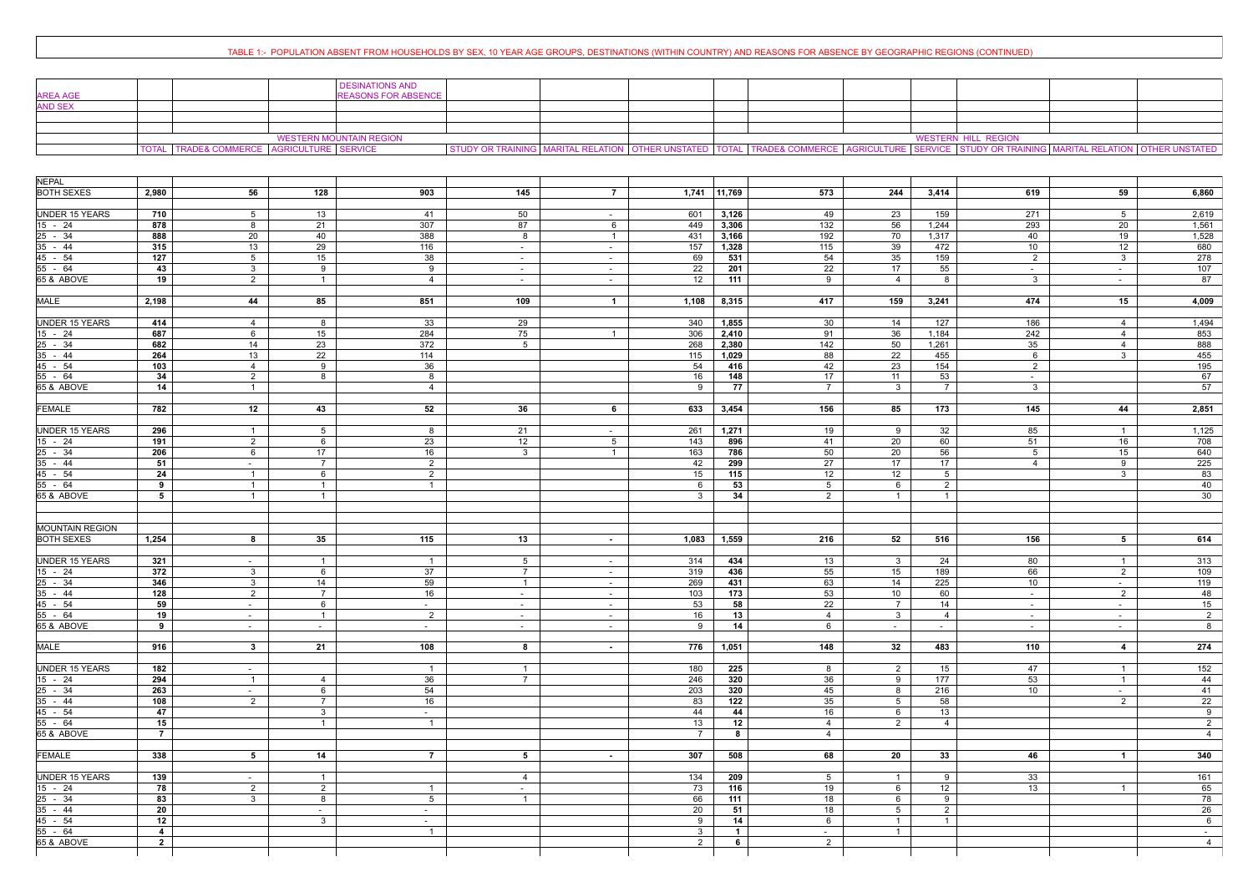## TABLE 1:- POPULATION ABSENT FROM HOUSEHOLDS BY SEX, 10 YEAR AGE GROUPS, DESTINATIONS (WITHIN COUNTRY) AND REASONS FOR ABSENCE BY GEOGRAPHIC REGIONS (CONTINUED)

| <b>AREA AGE</b> | <b>DESINATIONS AND</b><br><b>REASONS FOR ABSENCE</b>    |  |  |                                                                                                                                             |                            |  |
|-----------------|---------------------------------------------------------|--|--|---------------------------------------------------------------------------------------------------------------------------------------------|----------------------------|--|
| <b>AND SEX</b>  |                                                         |  |  |                                                                                                                                             |                            |  |
|                 |                                                         |  |  |                                                                                                                                             |                            |  |
|                 |                                                         |  |  |                                                                                                                                             |                            |  |
|                 | <b>WESTERN MOUNTAIN REGION</b>                          |  |  |                                                                                                                                             | <b>WESTERN HILL REGION</b> |  |
|                 | TRADE& COMMERCE   AGRICULTURE   SERVICE<br><b>TOTAL</b> |  |  | STUDY OR TRAINING MARITAL RELATION OTHER UNSTATED TOTAL TRADE& COMMERCE AGRICULTURE SERVICE STUDY OR TRAINING MARITAL RELATION OTHER UNSTAT |                            |  |

| <b>NEPAL</b><br><b>BOTH SEXES</b><br>56<br>2,980<br>128<br>903<br>145<br>$\overline{7}$<br>$1,741$ 11,769<br>573<br>244<br>3,414<br>619<br>59<br><b>UNDER 15 YEARS</b><br>50<br>3,126<br>23<br>159<br>271<br>710<br>$5^{\circ}$<br>13<br>41<br>601<br>49<br>$5\overline{5}$<br>$\sim$ $-$<br>$15 - 24$<br>878<br>21<br>307<br>87<br>3,306<br>$\overline{132}$<br>56<br>1,244<br>293<br>20<br>8<br>6<br>449<br>$25 - 34$<br>192<br>888<br>20<br>40<br>388<br>8<br>3,166<br>1,317<br>40<br>$\overline{1}$<br>431<br>70<br>19<br>$35 - 44$<br>29<br>315<br>13<br>116<br>1,328<br>115<br>39<br>10 <sup>1</sup><br>12<br>157<br>472<br>$\sim$<br>$\sim$<br>$\overline{127}$<br>54<br>45 - 54<br>5 <sup>5</sup><br>15<br>38<br>69<br>35<br>159<br>$\overline{2}$<br>531<br>$\mathbf{3}$<br>$\sim$<br>$\sim$<br>$55 - 64$<br>22<br>55<br>43<br>3 <sup>1</sup><br>9<br>9<br>17<br>22<br>201<br>$\sim$<br>$\sim$<br>$\sim$<br>$\sim$<br>65 & ABOVE<br>19<br>111<br>8<br>$\mathbf{3}$<br>$\overline{2}$<br>12 <sup>12</sup><br>9<br>$\overline{4}$<br>$\overline{1}$<br>$\overline{4}$<br>$\sim$<br>$\sim$<br>$\sim$<br>44<br>851<br>109<br>417<br><b>MALE</b><br>2,198<br>85<br>$\overline{1}$<br>1,108<br>8,315<br>159<br>3,241<br>474<br>15<br><b>UNDER 15 YEARS</b><br>33<br>29<br>340<br>1,855<br>30<br>14<br>127<br>186<br>414<br>$\overline{4}$<br>8<br>4<br>284<br>15 - 24<br>687<br>15<br>75<br>91<br>36<br>1,184<br>242<br>6<br>306<br>2,410<br>4<br>$\overline{1}$<br>$25 - 34$<br>682<br>372<br>14<br>23<br>5 <sup>5</sup><br>2,380<br>142<br>50<br>1,261<br>35<br>268<br>$\overline{4}$<br>$35 - 44$<br>22<br>264<br>13<br>114<br>1,029<br>88<br>22<br>455<br>115<br>6<br>3<br>45 - 54<br>103<br>9<br>36<br>54<br>42<br>23<br>154<br>$\overline{4}$<br>416<br>$\overline{2}$<br>$55 - 64$<br>34<br>17<br>53<br>2<br>8<br>8<br>16<br>148<br>11<br>$\sim$<br>65 & ABOVE<br>14<br>77<br>$\overline{7}$<br>$\mathbf{3}$<br>3 <sup>1</sup><br>$\overline{4}$<br>9<br>$\overline{7}$<br>$\overline{1}$<br>782<br>12<br>52<br>36<br>156<br>85<br><b>FEMALE</b><br>43<br>6<br>633<br>3,454<br>173<br>145<br>44<br>UNDER 15 YEARS<br>296<br>1,271<br>32<br>85<br>21<br>261<br>19<br>5 <sup>5</sup><br>8<br>9<br>$\overline{1}$<br>$\overline{1}$<br>$\sim$ $-$<br>$15 - 24$<br>191<br>$\overline{2}$<br>6<br>23<br>12<br>$5\overline{)}$<br>143<br>896<br>41<br>20<br>60<br>51<br>16<br>$25 - 34$<br>206<br>17<br>16<br>50<br>20<br>56<br>$\mathbf{3}$<br>163<br>786<br>5 <sup>5</sup><br>15<br>6<br>$\mathbf{1}$<br>$35 - 44$<br>51<br>$\overline{2}$<br>27<br>17<br>17<br>$\overline{7}$<br>42<br>299<br>$\overline{4}$<br>9<br>$\sim$<br>45 - 54<br>24<br>$\overline{2}$<br>12<br>12<br>6<br>15<br>115<br>$5\overline{5}$<br>3<br>$\overline{1}$<br>55 - 64<br>5 <sub>5</sub><br>$\overline{2}$<br>53<br>6<br>9<br>$\overline{1}$<br>6<br>$\overline{1}$<br>1<br>65 & ABOVE<br>34<br>$2^{\circ}$<br>$\overline{1}$<br>5<br>3 <sup>1</sup><br>$\overline{1}$<br>$\overline{1}$<br>$\mathbf{1}$<br><b>MOUNTAIN REGION</b><br><b>BOTH SEXES</b><br>1,254<br>35<br>115<br>13<br>216<br>52<br>156<br>8<br>1,083<br>1,559<br>516<br>$5^{\circ}$<br>$\sim$ 10 $\pm$<br><b>UNDER 15 YEARS</b><br>321<br>5 <sup>5</sup><br>314<br>434<br>13<br>$\mathbf{3}$<br>24<br>80<br>$\overline{1}$<br>$\overline{1}$<br>$\sim$<br>$\sim$<br>372<br>55<br>15<br>189<br>15 - 24<br>6<br>37<br>436<br>66<br>$\mathbf{3}$<br>$\overline{7}$<br>319<br>$\overline{2}$<br>$\sim$<br>$25 - 34$<br>346<br>59<br>63<br>14<br>225<br>$\mathbf{3}$<br>14<br>269<br>431<br>10 <sup>1</sup><br>$\overline{1}$<br>$\sim$<br>$\sim$ $-$<br>$35 - 44$<br>128<br>16<br>53<br>10<br>60<br>$\overline{2}$<br>$\overline{7}$<br>103<br>173<br>$\overline{2}$<br>$\sim$<br>$\sim$<br>$\sim$<br>45 - 54<br>59<br>22<br>6<br>53<br>58<br>$\overline{7}$<br>14<br>$\sim$<br>$\sim$<br>$\sim$<br>$\sim$<br>$\sim$<br>$\sim$<br>$55 - 64$<br>19<br>$\overline{2}$<br>13<br>$\overline{1}$<br>16<br>$\overline{4}$<br>$\mathbf{3}$<br>$\overline{4}$<br>$\sim$<br>$\sim$<br>$\sim$<br>$\sim$<br>$\sim$ |
|--------------------------------------------------------------------------------------------------------------------------------------------------------------------------------------------------------------------------------------------------------------------------------------------------------------------------------------------------------------------------------------------------------------------------------------------------------------------------------------------------------------------------------------------------------------------------------------------------------------------------------------------------------------------------------------------------------------------------------------------------------------------------------------------------------------------------------------------------------------------------------------------------------------------------------------------------------------------------------------------------------------------------------------------------------------------------------------------------------------------------------------------------------------------------------------------------------------------------------------------------------------------------------------------------------------------------------------------------------------------------------------------------------------------------------------------------------------------------------------------------------------------------------------------------------------------------------------------------------------------------------------------------------------------------------------------------------------------------------------------------------------------------------------------------------------------------------------------------------------------------------------------------------------------------------------------------------------------------------------------------------------------------------------------------------------------------------------------------------------------------------------------------------------------------------------------------------------------------------------------------------------------------------------------------------------------------------------------------------------------------------------------------------------------------------------------------------------------------------------------------------------------------------------------------------------------------------------------------------------------------------------------------------------------------------------------------------------------------------------------------------------------------------------------------------------------------------------------------------------------------------------------------------------------------------------------------------------------------------------------------------------------------------------------------------------------------------------------------------------------------------------------------------------------------------------------------------------------------------------------------------------------------------------------------------------------------------------------------------------------------------------------------------------------------------------------------------------------------------------------------------------------------------------------------------------------------------------------------------------------------------------------------------------------------------------------------------------------------------------------------------------------------------------------------------------------------------------------------------------------------------------------------------------------------------------------------------------------------------------------------------------------------------------------------------|
|                                                                                                                                                                                                                                                                                                                                                                                                                                                                                                                                                                                                                                                                                                                                                                                                                                                                                                                                                                                                                                                                                                                                                                                                                                                                                                                                                                                                                                                                                                                                                                                                                                                                                                                                                                                                                                                                                                                                                                                                                                                                                                                                                                                                                                                                                                                                                                                                                                                                                                                                                                                                                                                                                                                                                                                                                                                                                                                                                                                                                                                                                                                                                                                                                                                                                                                                                                                                                                                                                                                                                                                                                                                                                                                                                                                                                                                                                                                                                                                                                                                        |
|                                                                                                                                                                                                                                                                                                                                                                                                                                                                                                                                                                                                                                                                                                                                                                                                                                                                                                                                                                                                                                                                                                                                                                                                                                                                                                                                                                                                                                                                                                                                                                                                                                                                                                                                                                                                                                                                                                                                                                                                                                                                                                                                                                                                                                                                                                                                                                                                                                                                                                                                                                                                                                                                                                                                                                                                                                                                                                                                                                                                                                                                                                                                                                                                                                                                                                                                                                                                                                                                                                                                                                                                                                                                                                                                                                                                                                                                                                                                                                                                                                                        |
|                                                                                                                                                                                                                                                                                                                                                                                                                                                                                                                                                                                                                                                                                                                                                                                                                                                                                                                                                                                                                                                                                                                                                                                                                                                                                                                                                                                                                                                                                                                                                                                                                                                                                                                                                                                                                                                                                                                                                                                                                                                                                                                                                                                                                                                                                                                                                                                                                                                                                                                                                                                                                                                                                                                                                                                                                                                                                                                                                                                                                                                                                                                                                                                                                                                                                                                                                                                                                                                                                                                                                                                                                                                                                                                                                                                                                                                                                                                                                                                                                                                        |
|                                                                                                                                                                                                                                                                                                                                                                                                                                                                                                                                                                                                                                                                                                                                                                                                                                                                                                                                                                                                                                                                                                                                                                                                                                                                                                                                                                                                                                                                                                                                                                                                                                                                                                                                                                                                                                                                                                                                                                                                                                                                                                                                                                                                                                                                                                                                                                                                                                                                                                                                                                                                                                                                                                                                                                                                                                                                                                                                                                                                                                                                                                                                                                                                                                                                                                                                                                                                                                                                                                                                                                                                                                                                                                                                                                                                                                                                                                                                                                                                                                                        |
|                                                                                                                                                                                                                                                                                                                                                                                                                                                                                                                                                                                                                                                                                                                                                                                                                                                                                                                                                                                                                                                                                                                                                                                                                                                                                                                                                                                                                                                                                                                                                                                                                                                                                                                                                                                                                                                                                                                                                                                                                                                                                                                                                                                                                                                                                                                                                                                                                                                                                                                                                                                                                                                                                                                                                                                                                                                                                                                                                                                                                                                                                                                                                                                                                                                                                                                                                                                                                                                                                                                                                                                                                                                                                                                                                                                                                                                                                                                                                                                                                                                        |
|                                                                                                                                                                                                                                                                                                                                                                                                                                                                                                                                                                                                                                                                                                                                                                                                                                                                                                                                                                                                                                                                                                                                                                                                                                                                                                                                                                                                                                                                                                                                                                                                                                                                                                                                                                                                                                                                                                                                                                                                                                                                                                                                                                                                                                                                                                                                                                                                                                                                                                                                                                                                                                                                                                                                                                                                                                                                                                                                                                                                                                                                                                                                                                                                                                                                                                                                                                                                                                                                                                                                                                                                                                                                                                                                                                                                                                                                                                                                                                                                                                                        |
|                                                                                                                                                                                                                                                                                                                                                                                                                                                                                                                                                                                                                                                                                                                                                                                                                                                                                                                                                                                                                                                                                                                                                                                                                                                                                                                                                                                                                                                                                                                                                                                                                                                                                                                                                                                                                                                                                                                                                                                                                                                                                                                                                                                                                                                                                                                                                                                                                                                                                                                                                                                                                                                                                                                                                                                                                                                                                                                                                                                                                                                                                                                                                                                                                                                                                                                                                                                                                                                                                                                                                                                                                                                                                                                                                                                                                                                                                                                                                                                                                                                        |
|                                                                                                                                                                                                                                                                                                                                                                                                                                                                                                                                                                                                                                                                                                                                                                                                                                                                                                                                                                                                                                                                                                                                                                                                                                                                                                                                                                                                                                                                                                                                                                                                                                                                                                                                                                                                                                                                                                                                                                                                                                                                                                                                                                                                                                                                                                                                                                                                                                                                                                                                                                                                                                                                                                                                                                                                                                                                                                                                                                                                                                                                                                                                                                                                                                                                                                                                                                                                                                                                                                                                                                                                                                                                                                                                                                                                                                                                                                                                                                                                                                                        |
|                                                                                                                                                                                                                                                                                                                                                                                                                                                                                                                                                                                                                                                                                                                                                                                                                                                                                                                                                                                                                                                                                                                                                                                                                                                                                                                                                                                                                                                                                                                                                                                                                                                                                                                                                                                                                                                                                                                                                                                                                                                                                                                                                                                                                                                                                                                                                                                                                                                                                                                                                                                                                                                                                                                                                                                                                                                                                                                                                                                                                                                                                                                                                                                                                                                                                                                                                                                                                                                                                                                                                                                                                                                                                                                                                                                                                                                                                                                                                                                                                                                        |
|                                                                                                                                                                                                                                                                                                                                                                                                                                                                                                                                                                                                                                                                                                                                                                                                                                                                                                                                                                                                                                                                                                                                                                                                                                                                                                                                                                                                                                                                                                                                                                                                                                                                                                                                                                                                                                                                                                                                                                                                                                                                                                                                                                                                                                                                                                                                                                                                                                                                                                                                                                                                                                                                                                                                                                                                                                                                                                                                                                                                                                                                                                                                                                                                                                                                                                                                                                                                                                                                                                                                                                                                                                                                                                                                                                                                                                                                                                                                                                                                                                                        |
|                                                                                                                                                                                                                                                                                                                                                                                                                                                                                                                                                                                                                                                                                                                                                                                                                                                                                                                                                                                                                                                                                                                                                                                                                                                                                                                                                                                                                                                                                                                                                                                                                                                                                                                                                                                                                                                                                                                                                                                                                                                                                                                                                                                                                                                                                                                                                                                                                                                                                                                                                                                                                                                                                                                                                                                                                                                                                                                                                                                                                                                                                                                                                                                                                                                                                                                                                                                                                                                                                                                                                                                                                                                                                                                                                                                                                                                                                                                                                                                                                                                        |
|                                                                                                                                                                                                                                                                                                                                                                                                                                                                                                                                                                                                                                                                                                                                                                                                                                                                                                                                                                                                                                                                                                                                                                                                                                                                                                                                                                                                                                                                                                                                                                                                                                                                                                                                                                                                                                                                                                                                                                                                                                                                                                                                                                                                                                                                                                                                                                                                                                                                                                                                                                                                                                                                                                                                                                                                                                                                                                                                                                                                                                                                                                                                                                                                                                                                                                                                                                                                                                                                                                                                                                                                                                                                                                                                                                                                                                                                                                                                                                                                                                                        |
|                                                                                                                                                                                                                                                                                                                                                                                                                                                                                                                                                                                                                                                                                                                                                                                                                                                                                                                                                                                                                                                                                                                                                                                                                                                                                                                                                                                                                                                                                                                                                                                                                                                                                                                                                                                                                                                                                                                                                                                                                                                                                                                                                                                                                                                                                                                                                                                                                                                                                                                                                                                                                                                                                                                                                                                                                                                                                                                                                                                                                                                                                                                                                                                                                                                                                                                                                                                                                                                                                                                                                                                                                                                                                                                                                                                                                                                                                                                                                                                                                                                        |
|                                                                                                                                                                                                                                                                                                                                                                                                                                                                                                                                                                                                                                                                                                                                                                                                                                                                                                                                                                                                                                                                                                                                                                                                                                                                                                                                                                                                                                                                                                                                                                                                                                                                                                                                                                                                                                                                                                                                                                                                                                                                                                                                                                                                                                                                                                                                                                                                                                                                                                                                                                                                                                                                                                                                                                                                                                                                                                                                                                                                                                                                                                                                                                                                                                                                                                                                                                                                                                                                                                                                                                                                                                                                                                                                                                                                                                                                                                                                                                                                                                                        |
|                                                                                                                                                                                                                                                                                                                                                                                                                                                                                                                                                                                                                                                                                                                                                                                                                                                                                                                                                                                                                                                                                                                                                                                                                                                                                                                                                                                                                                                                                                                                                                                                                                                                                                                                                                                                                                                                                                                                                                                                                                                                                                                                                                                                                                                                                                                                                                                                                                                                                                                                                                                                                                                                                                                                                                                                                                                                                                                                                                                                                                                                                                                                                                                                                                                                                                                                                                                                                                                                                                                                                                                                                                                                                                                                                                                                                                                                                                                                                                                                                                                        |
|                                                                                                                                                                                                                                                                                                                                                                                                                                                                                                                                                                                                                                                                                                                                                                                                                                                                                                                                                                                                                                                                                                                                                                                                                                                                                                                                                                                                                                                                                                                                                                                                                                                                                                                                                                                                                                                                                                                                                                                                                                                                                                                                                                                                                                                                                                                                                                                                                                                                                                                                                                                                                                                                                                                                                                                                                                                                                                                                                                                                                                                                                                                                                                                                                                                                                                                                                                                                                                                                                                                                                                                                                                                                                                                                                                                                                                                                                                                                                                                                                                                        |
|                                                                                                                                                                                                                                                                                                                                                                                                                                                                                                                                                                                                                                                                                                                                                                                                                                                                                                                                                                                                                                                                                                                                                                                                                                                                                                                                                                                                                                                                                                                                                                                                                                                                                                                                                                                                                                                                                                                                                                                                                                                                                                                                                                                                                                                                                                                                                                                                                                                                                                                                                                                                                                                                                                                                                                                                                                                                                                                                                                                                                                                                                                                                                                                                                                                                                                                                                                                                                                                                                                                                                                                                                                                                                                                                                                                                                                                                                                                                                                                                                                                        |
|                                                                                                                                                                                                                                                                                                                                                                                                                                                                                                                                                                                                                                                                                                                                                                                                                                                                                                                                                                                                                                                                                                                                                                                                                                                                                                                                                                                                                                                                                                                                                                                                                                                                                                                                                                                                                                                                                                                                                                                                                                                                                                                                                                                                                                                                                                                                                                                                                                                                                                                                                                                                                                                                                                                                                                                                                                                                                                                                                                                                                                                                                                                                                                                                                                                                                                                                                                                                                                                                                                                                                                                                                                                                                                                                                                                                                                                                                                                                                                                                                                                        |
|                                                                                                                                                                                                                                                                                                                                                                                                                                                                                                                                                                                                                                                                                                                                                                                                                                                                                                                                                                                                                                                                                                                                                                                                                                                                                                                                                                                                                                                                                                                                                                                                                                                                                                                                                                                                                                                                                                                                                                                                                                                                                                                                                                                                                                                                                                                                                                                                                                                                                                                                                                                                                                                                                                                                                                                                                                                                                                                                                                                                                                                                                                                                                                                                                                                                                                                                                                                                                                                                                                                                                                                                                                                                                                                                                                                                                                                                                                                                                                                                                                                        |
|                                                                                                                                                                                                                                                                                                                                                                                                                                                                                                                                                                                                                                                                                                                                                                                                                                                                                                                                                                                                                                                                                                                                                                                                                                                                                                                                                                                                                                                                                                                                                                                                                                                                                                                                                                                                                                                                                                                                                                                                                                                                                                                                                                                                                                                                                                                                                                                                                                                                                                                                                                                                                                                                                                                                                                                                                                                                                                                                                                                                                                                                                                                                                                                                                                                                                                                                                                                                                                                                                                                                                                                                                                                                                                                                                                                                                                                                                                                                                                                                                                                        |
|                                                                                                                                                                                                                                                                                                                                                                                                                                                                                                                                                                                                                                                                                                                                                                                                                                                                                                                                                                                                                                                                                                                                                                                                                                                                                                                                                                                                                                                                                                                                                                                                                                                                                                                                                                                                                                                                                                                                                                                                                                                                                                                                                                                                                                                                                                                                                                                                                                                                                                                                                                                                                                                                                                                                                                                                                                                                                                                                                                                                                                                                                                                                                                                                                                                                                                                                                                                                                                                                                                                                                                                                                                                                                                                                                                                                                                                                                                                                                                                                                                                        |
|                                                                                                                                                                                                                                                                                                                                                                                                                                                                                                                                                                                                                                                                                                                                                                                                                                                                                                                                                                                                                                                                                                                                                                                                                                                                                                                                                                                                                                                                                                                                                                                                                                                                                                                                                                                                                                                                                                                                                                                                                                                                                                                                                                                                                                                                                                                                                                                                                                                                                                                                                                                                                                                                                                                                                                                                                                                                                                                                                                                                                                                                                                                                                                                                                                                                                                                                                                                                                                                                                                                                                                                                                                                                                                                                                                                                                                                                                                                                                                                                                                                        |
|                                                                                                                                                                                                                                                                                                                                                                                                                                                                                                                                                                                                                                                                                                                                                                                                                                                                                                                                                                                                                                                                                                                                                                                                                                                                                                                                                                                                                                                                                                                                                                                                                                                                                                                                                                                                                                                                                                                                                                                                                                                                                                                                                                                                                                                                                                                                                                                                                                                                                                                                                                                                                                                                                                                                                                                                                                                                                                                                                                                                                                                                                                                                                                                                                                                                                                                                                                                                                                                                                                                                                                                                                                                                                                                                                                                                                                                                                                                                                                                                                                                        |
|                                                                                                                                                                                                                                                                                                                                                                                                                                                                                                                                                                                                                                                                                                                                                                                                                                                                                                                                                                                                                                                                                                                                                                                                                                                                                                                                                                                                                                                                                                                                                                                                                                                                                                                                                                                                                                                                                                                                                                                                                                                                                                                                                                                                                                                                                                                                                                                                                                                                                                                                                                                                                                                                                                                                                                                                                                                                                                                                                                                                                                                                                                                                                                                                                                                                                                                                                                                                                                                                                                                                                                                                                                                                                                                                                                                                                                                                                                                                                                                                                                                        |
|                                                                                                                                                                                                                                                                                                                                                                                                                                                                                                                                                                                                                                                                                                                                                                                                                                                                                                                                                                                                                                                                                                                                                                                                                                                                                                                                                                                                                                                                                                                                                                                                                                                                                                                                                                                                                                                                                                                                                                                                                                                                                                                                                                                                                                                                                                                                                                                                                                                                                                                                                                                                                                                                                                                                                                                                                                                                                                                                                                                                                                                                                                                                                                                                                                                                                                                                                                                                                                                                                                                                                                                                                                                                                                                                                                                                                                                                                                                                                                                                                                                        |
|                                                                                                                                                                                                                                                                                                                                                                                                                                                                                                                                                                                                                                                                                                                                                                                                                                                                                                                                                                                                                                                                                                                                                                                                                                                                                                                                                                                                                                                                                                                                                                                                                                                                                                                                                                                                                                                                                                                                                                                                                                                                                                                                                                                                                                                                                                                                                                                                                                                                                                                                                                                                                                                                                                                                                                                                                                                                                                                                                                                                                                                                                                                                                                                                                                                                                                                                                                                                                                                                                                                                                                                                                                                                                                                                                                                                                                                                                                                                                                                                                                                        |
|                                                                                                                                                                                                                                                                                                                                                                                                                                                                                                                                                                                                                                                                                                                                                                                                                                                                                                                                                                                                                                                                                                                                                                                                                                                                                                                                                                                                                                                                                                                                                                                                                                                                                                                                                                                                                                                                                                                                                                                                                                                                                                                                                                                                                                                                                                                                                                                                                                                                                                                                                                                                                                                                                                                                                                                                                                                                                                                                                                                                                                                                                                                                                                                                                                                                                                                                                                                                                                                                                                                                                                                                                                                                                                                                                                                                                                                                                                                                                                                                                                                        |
|                                                                                                                                                                                                                                                                                                                                                                                                                                                                                                                                                                                                                                                                                                                                                                                                                                                                                                                                                                                                                                                                                                                                                                                                                                                                                                                                                                                                                                                                                                                                                                                                                                                                                                                                                                                                                                                                                                                                                                                                                                                                                                                                                                                                                                                                                                                                                                                                                                                                                                                                                                                                                                                                                                                                                                                                                                                                                                                                                                                                                                                                                                                                                                                                                                                                                                                                                                                                                                                                                                                                                                                                                                                                                                                                                                                                                                                                                                                                                                                                                                                        |
|                                                                                                                                                                                                                                                                                                                                                                                                                                                                                                                                                                                                                                                                                                                                                                                                                                                                                                                                                                                                                                                                                                                                                                                                                                                                                                                                                                                                                                                                                                                                                                                                                                                                                                                                                                                                                                                                                                                                                                                                                                                                                                                                                                                                                                                                                                                                                                                                                                                                                                                                                                                                                                                                                                                                                                                                                                                                                                                                                                                                                                                                                                                                                                                                                                                                                                                                                                                                                                                                                                                                                                                                                                                                                                                                                                                                                                                                                                                                                                                                                                                        |
|                                                                                                                                                                                                                                                                                                                                                                                                                                                                                                                                                                                                                                                                                                                                                                                                                                                                                                                                                                                                                                                                                                                                                                                                                                                                                                                                                                                                                                                                                                                                                                                                                                                                                                                                                                                                                                                                                                                                                                                                                                                                                                                                                                                                                                                                                                                                                                                                                                                                                                                                                                                                                                                                                                                                                                                                                                                                                                                                                                                                                                                                                                                                                                                                                                                                                                                                                                                                                                                                                                                                                                                                                                                                                                                                                                                                                                                                                                                                                                                                                                                        |
|                                                                                                                                                                                                                                                                                                                                                                                                                                                                                                                                                                                                                                                                                                                                                                                                                                                                                                                                                                                                                                                                                                                                                                                                                                                                                                                                                                                                                                                                                                                                                                                                                                                                                                                                                                                                                                                                                                                                                                                                                                                                                                                                                                                                                                                                                                                                                                                                                                                                                                                                                                                                                                                                                                                                                                                                                                                                                                                                                                                                                                                                                                                                                                                                                                                                                                                                                                                                                                                                                                                                                                                                                                                                                                                                                                                                                                                                                                                                                                                                                                                        |
|                                                                                                                                                                                                                                                                                                                                                                                                                                                                                                                                                                                                                                                                                                                                                                                                                                                                                                                                                                                                                                                                                                                                                                                                                                                                                                                                                                                                                                                                                                                                                                                                                                                                                                                                                                                                                                                                                                                                                                                                                                                                                                                                                                                                                                                                                                                                                                                                                                                                                                                                                                                                                                                                                                                                                                                                                                                                                                                                                                                                                                                                                                                                                                                                                                                                                                                                                                                                                                                                                                                                                                                                                                                                                                                                                                                                                                                                                                                                                                                                                                                        |
|                                                                                                                                                                                                                                                                                                                                                                                                                                                                                                                                                                                                                                                                                                                                                                                                                                                                                                                                                                                                                                                                                                                                                                                                                                                                                                                                                                                                                                                                                                                                                                                                                                                                                                                                                                                                                                                                                                                                                                                                                                                                                                                                                                                                                                                                                                                                                                                                                                                                                                                                                                                                                                                                                                                                                                                                                                                                                                                                                                                                                                                                                                                                                                                                                                                                                                                                                                                                                                                                                                                                                                                                                                                                                                                                                                                                                                                                                                                                                                                                                                                        |
|                                                                                                                                                                                                                                                                                                                                                                                                                                                                                                                                                                                                                                                                                                                                                                                                                                                                                                                                                                                                                                                                                                                                                                                                                                                                                                                                                                                                                                                                                                                                                                                                                                                                                                                                                                                                                                                                                                                                                                                                                                                                                                                                                                                                                                                                                                                                                                                                                                                                                                                                                                                                                                                                                                                                                                                                                                                                                                                                                                                                                                                                                                                                                                                                                                                                                                                                                                                                                                                                                                                                                                                                                                                                                                                                                                                                                                                                                                                                                                                                                                                        |
|                                                                                                                                                                                                                                                                                                                                                                                                                                                                                                                                                                                                                                                                                                                                                                                                                                                                                                                                                                                                                                                                                                                                                                                                                                                                                                                                                                                                                                                                                                                                                                                                                                                                                                                                                                                                                                                                                                                                                                                                                                                                                                                                                                                                                                                                                                                                                                                                                                                                                                                                                                                                                                                                                                                                                                                                                                                                                                                                                                                                                                                                                                                                                                                                                                                                                                                                                                                                                                                                                                                                                                                                                                                                                                                                                                                                                                                                                                                                                                                                                                                        |
|                                                                                                                                                                                                                                                                                                                                                                                                                                                                                                                                                                                                                                                                                                                                                                                                                                                                                                                                                                                                                                                                                                                                                                                                                                                                                                                                                                                                                                                                                                                                                                                                                                                                                                                                                                                                                                                                                                                                                                                                                                                                                                                                                                                                                                                                                                                                                                                                                                                                                                                                                                                                                                                                                                                                                                                                                                                                                                                                                                                                                                                                                                                                                                                                                                                                                                                                                                                                                                                                                                                                                                                                                                                                                                                                                                                                                                                                                                                                                                                                                                                        |
|                                                                                                                                                                                                                                                                                                                                                                                                                                                                                                                                                                                                                                                                                                                                                                                                                                                                                                                                                                                                                                                                                                                                                                                                                                                                                                                                                                                                                                                                                                                                                                                                                                                                                                                                                                                                                                                                                                                                                                                                                                                                                                                                                                                                                                                                                                                                                                                                                                                                                                                                                                                                                                                                                                                                                                                                                                                                                                                                                                                                                                                                                                                                                                                                                                                                                                                                                                                                                                                                                                                                                                                                                                                                                                                                                                                                                                                                                                                                                                                                                                                        |
|                                                                                                                                                                                                                                                                                                                                                                                                                                                                                                                                                                                                                                                                                                                                                                                                                                                                                                                                                                                                                                                                                                                                                                                                                                                                                                                                                                                                                                                                                                                                                                                                                                                                                                                                                                                                                                                                                                                                                                                                                                                                                                                                                                                                                                                                                                                                                                                                                                                                                                                                                                                                                                                                                                                                                                                                                                                                                                                                                                                                                                                                                                                                                                                                                                                                                                                                                                                                                                                                                                                                                                                                                                                                                                                                                                                                                                                                                                                                                                                                                                                        |
|                                                                                                                                                                                                                                                                                                                                                                                                                                                                                                                                                                                                                                                                                                                                                                                                                                                                                                                                                                                                                                                                                                                                                                                                                                                                                                                                                                                                                                                                                                                                                                                                                                                                                                                                                                                                                                                                                                                                                                                                                                                                                                                                                                                                                                                                                                                                                                                                                                                                                                                                                                                                                                                                                                                                                                                                                                                                                                                                                                                                                                                                                                                                                                                                                                                                                                                                                                                                                                                                                                                                                                                                                                                                                                                                                                                                                                                                                                                                                                                                                                                        |
|                                                                                                                                                                                                                                                                                                                                                                                                                                                                                                                                                                                                                                                                                                                                                                                                                                                                                                                                                                                                                                                                                                                                                                                                                                                                                                                                                                                                                                                                                                                                                                                                                                                                                                                                                                                                                                                                                                                                                                                                                                                                                                                                                                                                                                                                                                                                                                                                                                                                                                                                                                                                                                                                                                                                                                                                                                                                                                                                                                                                                                                                                                                                                                                                                                                                                                                                                                                                                                                                                                                                                                                                                                                                                                                                                                                                                                                                                                                                                                                                                                                        |
| 65 & ABOVE<br>14<br>9<br>6<br>9<br>$\sim$<br>$\sim$ $-$<br>$\sim$<br>$\sim$<br>$\sim$<br>$\sim$<br>$\sim$ $-$<br>$\sim$<br>$\sim$                                                                                                                                                                                                                                                                                                                                                                                                                                                                                                                                                                                                                                                                                                                                                                                                                                                                                                                                                                                                                                                                                                                                                                                                                                                                                                                                                                                                                                                                                                                                                                                                                                                                                                                                                                                                                                                                                                                                                                                                                                                                                                                                                                                                                                                                                                                                                                                                                                                                                                                                                                                                                                                                                                                                                                                                                                                                                                                                                                                                                                                                                                                                                                                                                                                                                                                                                                                                                                                                                                                                                                                                                                                                                                                                                                                                                                                                                                                      |
|                                                                                                                                                                                                                                                                                                                                                                                                                                                                                                                                                                                                                                                                                                                                                                                                                                                                                                                                                                                                                                                                                                                                                                                                                                                                                                                                                                                                                                                                                                                                                                                                                                                                                                                                                                                                                                                                                                                                                                                                                                                                                                                                                                                                                                                                                                                                                                                                                                                                                                                                                                                                                                                                                                                                                                                                                                                                                                                                                                                                                                                                                                                                                                                                                                                                                                                                                                                                                                                                                                                                                                                                                                                                                                                                                                                                                                                                                                                                                                                                                                                        |
| <b>MALE</b><br>916<br>$776$ 1,051<br>32<br>483<br>21<br>108<br>$\frac{1}{148}$<br>110<br>8<br>$3^{\circ}$<br>4                                                                                                                                                                                                                                                                                                                                                                                                                                                                                                                                                                                                                                                                                                                                                                                                                                                                                                                                                                                                                                                                                                                                                                                                                                                                                                                                                                                                                                                                                                                                                                                                                                                                                                                                                                                                                                                                                                                                                                                                                                                                                                                                                                                                                                                                                                                                                                                                                                                                                                                                                                                                                                                                                                                                                                                                                                                                                                                                                                                                                                                                                                                                                                                                                                                                                                                                                                                                                                                                                                                                                                                                                                                                                                                                                                                                                                                                                                                                         |
|                                                                                                                                                                                                                                                                                                                                                                                                                                                                                                                                                                                                                                                                                                                                                                                                                                                                                                                                                                                                                                                                                                                                                                                                                                                                                                                                                                                                                                                                                                                                                                                                                                                                                                                                                                                                                                                                                                                                                                                                                                                                                                                                                                                                                                                                                                                                                                                                                                                                                                                                                                                                                                                                                                                                                                                                                                                                                                                                                                                                                                                                                                                                                                                                                                                                                                                                                                                                                                                                                                                                                                                                                                                                                                                                                                                                                                                                                                                                                                                                                                                        |
| UNDER 15 YEARS<br>182<br>180<br>225<br>8<br>$\overline{2}$<br>47<br>15<br>$\overline{1}$<br>$\overline{1}$<br>$\overline{1}$<br>$\sim$                                                                                                                                                                                                                                                                                                                                                                                                                                                                                                                                                                                                                                                                                                                                                                                                                                                                                                                                                                                                                                                                                                                                                                                                                                                                                                                                                                                                                                                                                                                                                                                                                                                                                                                                                                                                                                                                                                                                                                                                                                                                                                                                                                                                                                                                                                                                                                                                                                                                                                                                                                                                                                                                                                                                                                                                                                                                                                                                                                                                                                                                                                                                                                                                                                                                                                                                                                                                                                                                                                                                                                                                                                                                                                                                                                                                                                                                                                                 |
| $15 - 24$<br>294<br>36<br>36<br>$\overline{7}$<br>320<br>9<br>177<br>53<br>$\overline{1}$<br>246<br>4<br>$\overline{1}$                                                                                                                                                                                                                                                                                                                                                                                                                                                                                                                                                                                                                                                                                                                                                                                                                                                                                                                                                                                                                                                                                                                                                                                                                                                                                                                                                                                                                                                                                                                                                                                                                                                                                                                                                                                                                                                                                                                                                                                                                                                                                                                                                                                                                                                                                                                                                                                                                                                                                                                                                                                                                                                                                                                                                                                                                                                                                                                                                                                                                                                                                                                                                                                                                                                                                                                                                                                                                                                                                                                                                                                                                                                                                                                                                                                                                                                                                                                                |
| $25 - 34$<br>263<br>45<br>6<br>54<br>203<br>320<br>8<br>216<br>10 <sup>1</sup><br>$\sim$<br>$\sim$                                                                                                                                                                                                                                                                                                                                                                                                                                                                                                                                                                                                                                                                                                                                                                                                                                                                                                                                                                                                                                                                                                                                                                                                                                                                                                                                                                                                                                                                                                                                                                                                                                                                                                                                                                                                                                                                                                                                                                                                                                                                                                                                                                                                                                                                                                                                                                                                                                                                                                                                                                                                                                                                                                                                                                                                                                                                                                                                                                                                                                                                                                                                                                                                                                                                                                                                                                                                                                                                                                                                                                                                                                                                                                                                                                                                                                                                                                                                                     |
| $35 - 44$<br>35<br>108<br>$\overline{2}$<br>16<br>122<br>$5\overline{)}$<br>58<br>$\overline{7}$<br>83<br>$\overline{2}$                                                                                                                                                                                                                                                                                                                                                                                                                                                                                                                                                                                                                                                                                                                                                                                                                                                                                                                                                                                                                                                                                                                                                                                                                                                                                                                                                                                                                                                                                                                                                                                                                                                                                                                                                                                                                                                                                                                                                                                                                                                                                                                                                                                                                                                                                                                                                                                                                                                                                                                                                                                                                                                                                                                                                                                                                                                                                                                                                                                                                                                                                                                                                                                                                                                                                                                                                                                                                                                                                                                                                                                                                                                                                                                                                                                                                                                                                                                               |
| 47<br>$\mathbf{3}$<br>44<br>16<br>$6\overline{6}$<br>13<br>44<br>$\sim$                                                                                                                                                                                                                                                                                                                                                                                                                                                                                                                                                                                                                                                                                                                                                                                                                                                                                                                                                                                                                                                                                                                                                                                                                                                                                                                                                                                                                                                                                                                                                                                                                                                                                                                                                                                                                                                                                                                                                                                                                                                                                                                                                                                                                                                                                                                                                                                                                                                                                                                                                                                                                                                                                                                                                                                                                                                                                                                                                                                                                                                                                                                                                                                                                                                                                                                                                                                                                                                                                                                                                                                                                                                                                                                                                                                                                                                                                                                                                                                |
| $\frac{45 - 54}{55 - 64}$<br>15<br>$\overline{1}$<br>13<br>12<br>$\overline{4}$<br>2<br>$\overline{4}$<br>$\mathbf{1}$                                                                                                                                                                                                                                                                                                                                                                                                                                                                                                                                                                                                                                                                                                                                                                                                                                                                                                                                                                                                                                                                                                                                                                                                                                                                                                                                                                                                                                                                                                                                                                                                                                                                                                                                                                                                                                                                                                                                                                                                                                                                                                                                                                                                                                                                                                                                                                                                                                                                                                                                                                                                                                                                                                                                                                                                                                                                                                                                                                                                                                                                                                                                                                                                                                                                                                                                                                                                                                                                                                                                                                                                                                                                                                                                                                                                                                                                                                                                 |
| 65 & ABOVE<br>$\overline{7}$<br>$\overline{7}$<br>8<br>$\overline{4}$                                                                                                                                                                                                                                                                                                                                                                                                                                                                                                                                                                                                                                                                                                                                                                                                                                                                                                                                                                                                                                                                                                                                                                                                                                                                                                                                                                                                                                                                                                                                                                                                                                                                                                                                                                                                                                                                                                                                                                                                                                                                                                                                                                                                                                                                                                                                                                                                                                                                                                                                                                                                                                                                                                                                                                                                                                                                                                                                                                                                                                                                                                                                                                                                                                                                                                                                                                                                                                                                                                                                                                                                                                                                                                                                                                                                                                                                                                                                                                                  |
|                                                                                                                                                                                                                                                                                                                                                                                                                                                                                                                                                                                                                                                                                                                                                                                                                                                                                                                                                                                                                                                                                                                                                                                                                                                                                                                                                                                                                                                                                                                                                                                                                                                                                                                                                                                                                                                                                                                                                                                                                                                                                                                                                                                                                                                                                                                                                                                                                                                                                                                                                                                                                                                                                                                                                                                                                                                                                                                                                                                                                                                                                                                                                                                                                                                                                                                                                                                                                                                                                                                                                                                                                                                                                                                                                                                                                                                                                                                                                                                                                                                        |
| <b>FEMALE</b><br>338<br>68<br>20<br>33<br>$5^{\circ}$<br>14<br>$\overline{7}$<br>$5^{\circ}$<br>307<br>508<br>46<br>$\overline{1}$<br>$\sim$                                                                                                                                                                                                                                                                                                                                                                                                                                                                                                                                                                                                                                                                                                                                                                                                                                                                                                                                                                                                                                                                                                                                                                                                                                                                                                                                                                                                                                                                                                                                                                                                                                                                                                                                                                                                                                                                                                                                                                                                                                                                                                                                                                                                                                                                                                                                                                                                                                                                                                                                                                                                                                                                                                                                                                                                                                                                                                                                                                                                                                                                                                                                                                                                                                                                                                                                                                                                                                                                                                                                                                                                                                                                                                                                                                                                                                                                                                           |
|                                                                                                                                                                                                                                                                                                                                                                                                                                                                                                                                                                                                                                                                                                                                                                                                                                                                                                                                                                                                                                                                                                                                                                                                                                                                                                                                                                                                                                                                                                                                                                                                                                                                                                                                                                                                                                                                                                                                                                                                                                                                                                                                                                                                                                                                                                                                                                                                                                                                                                                                                                                                                                                                                                                                                                                                                                                                                                                                                                                                                                                                                                                                                                                                                                                                                                                                                                                                                                                                                                                                                                                                                                                                                                                                                                                                                                                                                                                                                                                                                                                        |
| <b>UNDER 15 YEARS</b><br>33<br>139<br>$\overline{4}$<br>134<br>209<br>5 <sub>5</sub><br>9<br>$\mathbf{1}$<br>$\overline{1}$<br>$\sim$                                                                                                                                                                                                                                                                                                                                                                                                                                                                                                                                                                                                                                                                                                                                                                                                                                                                                                                                                                                                                                                                                                                                                                                                                                                                                                                                                                                                                                                                                                                                                                                                                                                                                                                                                                                                                                                                                                                                                                                                                                                                                                                                                                                                                                                                                                                                                                                                                                                                                                                                                                                                                                                                                                                                                                                                                                                                                                                                                                                                                                                                                                                                                                                                                                                                                                                                                                                                                                                                                                                                                                                                                                                                                                                                                                                                                                                                                                                  |
| 78<br>$15 - 24$<br>$\overline{2}$<br>$\overline{2}$<br>73<br>116<br>19<br>6<br>12<br>13<br>$\overline{1}$<br>$\mathbf{1}$<br>$\sim$                                                                                                                                                                                                                                                                                                                                                                                                                                                                                                                                                                                                                                                                                                                                                                                                                                                                                                                                                                                                                                                                                                                                                                                                                                                                                                                                                                                                                                                                                                                                                                                                                                                                                                                                                                                                                                                                                                                                                                                                                                                                                                                                                                                                                                                                                                                                                                                                                                                                                                                                                                                                                                                                                                                                                                                                                                                                                                                                                                                                                                                                                                                                                                                                                                                                                                                                                                                                                                                                                                                                                                                                                                                                                                                                                                                                                                                                                                                    |
|                                                                                                                                                                                                                                                                                                                                                                                                                                                                                                                                                                                                                                                                                                                                                                                                                                                                                                                                                                                                                                                                                                                                                                                                                                                                                                                                                                                                                                                                                                                                                                                                                                                                                                                                                                                                                                                                                                                                                                                                                                                                                                                                                                                                                                                                                                                                                                                                                                                                                                                                                                                                                                                                                                                                                                                                                                                                                                                                                                                                                                                                                                                                                                                                                                                                                                                                                                                                                                                                                                                                                                                                                                                                                                                                                                                                                                                                                                                                                                                                                                                        |
| 8<br>18<br>9<br>$\mathbf{3}$<br>5 <sup>5</sup><br>111<br>6<br>$\overline{1}$                                                                                                                                                                                                                                                                                                                                                                                                                                                                                                                                                                                                                                                                                                                                                                                                                                                                                                                                                                                                                                                                                                                                                                                                                                                                                                                                                                                                                                                                                                                                                                                                                                                                                                                                                                                                                                                                                                                                                                                                                                                                                                                                                                                                                                                                                                                                                                                                                                                                                                                                                                                                                                                                                                                                                                                                                                                                                                                                                                                                                                                                                                                                                                                                                                                                                                                                                                                                                                                                                                                                                                                                                                                                                                                                                                                                                                                                                                                                                                           |
| 83<br>66<br>5 <sup>5</sup><br>$\sim$<br>$\sim$                                                                                                                                                                                                                                                                                                                                                                                                                                                                                                                                                                                                                                                                                                                                                                                                                                                                                                                                                                                                                                                                                                                                                                                                                                                                                                                                                                                                                                                                                                                                                                                                                                                                                                                                                                                                                                                                                                                                                                                                                                                                                                                                                                                                                                                                                                                                                                                                                                                                                                                                                                                                                                                                                                                                                                                                                                                                                                                                                                                                                                                                                                                                                                                                                                                                                                                                                                                                                                                                                                                                                                                                                                                                                                                                                                                                                                                                                                                                                                                                         |
| $25 - 34$<br>$35 - 44$<br>20<br>18<br>$\overline{2}$<br>20<br>51<br>$\mathbf{3}$<br>14<br>6<br>$\overline{1}$<br>$\overline{1}$<br>$\sim$                                                                                                                                                                                                                                                                                                                                                                                                                                                                                                                                                                                                                                                                                                                                                                                                                                                                                                                                                                                                                                                                                                                                                                                                                                                                                                                                                                                                                                                                                                                                                                                                                                                                                                                                                                                                                                                                                                                                                                                                                                                                                                                                                                                                                                                                                                                                                                                                                                                                                                                                                                                                                                                                                                                                                                                                                                                                                                                                                                                                                                                                                                                                                                                                                                                                                                                                                                                                                                                                                                                                                                                                                                                                                                                                                                                                                                                                                                              |
| 12<br>9<br>$\overline{4}$<br>$\overline{1}$<br>$\overline{1}$<br>$\mathbf{1}$<br>$\sim$ $-$                                                                                                                                                                                                                                                                                                                                                                                                                                                                                                                                                                                                                                                                                                                                                                                                                                                                                                                                                                                                                                                                                                                                                                                                                                                                                                                                                                                                                                                                                                                                                                                                                                                                                                                                                                                                                                                                                                                                                                                                                                                                                                                                                                                                                                                                                                                                                                                                                                                                                                                                                                                                                                                                                                                                                                                                                                                                                                                                                                                                                                                                                                                                                                                                                                                                                                                                                                                                                                                                                                                                                                                                                                                                                                                                                                                                                                                                                                                                                            |
| $\frac{45 - 54}{55 - 64}$<br>3 <sup>5</sup><br>65 & ABOVE<br>$\overline{2}$<br>$2^{\circ}$<br>6<br>$\overline{2}$                                                                                                                                                                                                                                                                                                                                                                                                                                                                                                                                                                                                                                                                                                                                                                                                                                                                                                                                                                                                                                                                                                                                                                                                                                                                                                                                                                                                                                                                                                                                                                                                                                                                                                                                                                                                                                                                                                                                                                                                                                                                                                                                                                                                                                                                                                                                                                                                                                                                                                                                                                                                                                                                                                                                                                                                                                                                                                                                                                                                                                                                                                                                                                                                                                                                                                                                                                                                                                                                                                                                                                                                                                                                                                                                                                                                                                                                                                                                      |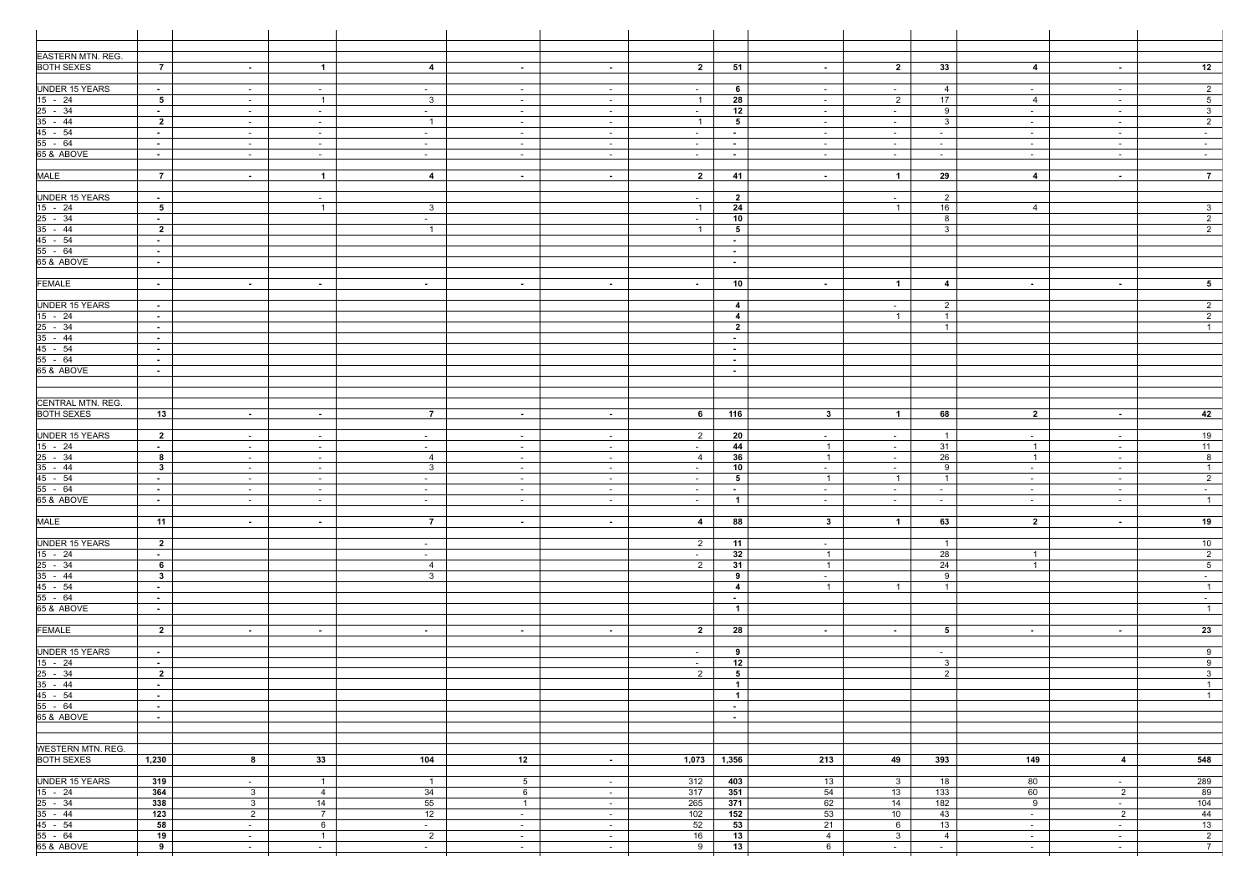| <b>EASTERN MTN. REG.</b>                                                                                |                           |                  |                              |                                  |                  |                  |                  |                                  |                                   |                                    |                                  |                         |                  |                                           |
|---------------------------------------------------------------------------------------------------------|---------------------------|------------------|------------------------------|----------------------------------|------------------|------------------|------------------|----------------------------------|-----------------------------------|------------------------------------|----------------------------------|-------------------------|------------------|-------------------------------------------|
| <b>BOTH SEXES</b>                                                                                       | $\overline{7}$            | $\sim$           | $\overline{1}$               | $\overline{4}$                   | $\sim$           | $\sim$ 10 $\pm$  | $\overline{2}$   | 51                               | $\sim$                            | $\overline{2}$                     | 33                               | $\overline{4}$          | $\sim$           | 12                                        |
| <b>UNDER 15 YEARS</b>                                                                                   | $\sim 10$                 |                  |                              | $\sim$                           | $\sim$           | $\sim$           | $\sim$           | 6                                | $\sim$                            | $\sim$                             | 4                                | $\sim$                  | $\sim$           | $2^{\circ}$                               |
|                                                                                                         | $5^{\circ}$               | $\sim$<br>$\sim$ | $\sim$ $-$<br>$\overline{1}$ | $\mathbf{3}$                     | $\sim$           | $\sim$           | $\overline{1}$   | 28                               | $\sim$                            | $\overline{2}$                     | 17                               | $\overline{4}$          | $\sim$           | 5 <sup>5</sup>                            |
| $\frac{15 - 24}{25 - 34}$                                                                               | $\sim 10$                 | $\sim$           | $\sim$                       | $\sim$                           | $\sim$           | $\sim$ $-$       | $\sim$           | 12                               | $\sim$                            | $\sim$                             | 9                                | $\sim$                  | $\sim$           | 3 <sup>1</sup>                            |
| $35 - 44$                                                                                               | $\overline{2}$            | $\sim$           | $\sim$                       | $\overline{1}$                   | $\sim$           | $\sim$ $-$       | $\overline{1}$   | 5                                | $\sim$                            | $\sim$ $-$                         | $\mathbf{3}$                     | $\sim$                  | $\sim$           | $2^{\circ}$                               |
| 45 - 54                                                                                                 | $\sim$                    | $\sim$           | $\sim$                       | $\sim$                           | $\sim$           | $\sim$ $-$       | $\sim$ $-$       | $\sim$                           | $\sim$                            | $\sim$ $-$                         | $\sim$ $-$                       | $\sim$                  | $\sim$           | $\sim$ $-$                                |
| 55 - 64                                                                                                 | $\sim$                    | $\sim$           | $\sim$                       | $\sim$                           | $\sim$           | $\sim$ $-$       | $\sim$           | $\sim$                           | $\sim$ $-$                        | $\sim$                             | $\sim$                           | $\sim$                  | $\sim$           | $\sim$                                    |
| 65 & ABOVE                                                                                              | $\sim$                    | $\sim$           | $\sim$                       | $\sim$ $-$                       | $\sim$           | $\sim$           | $\sim$           | $\sim$                           | $\sim$                            | $\sim$ $-$                         | $\sim$                           | $\sim$                  | $\sim$           | $\sim$ $-$                                |
| <b>MALE</b>                                                                                             | $\overline{7}$            | $\sim$           | $\overline{1}$               | $\overline{4}$                   | $\sim$           | $\sim$           | $\overline{2}$   | 41                               | $\sim$                            | $\mathbf{1}$                       | 29                               | $\overline{4}$          | $\sim$           | $\overline{7}$                            |
|                                                                                                         |                           |                  |                              |                                  |                  |                  |                  |                                  |                                   |                                    |                                  |                         |                  |                                           |
| <b>UNDER 15 YEARS</b>                                                                                   | $\sim$ 10 $\pm$           |                  | $\sim$                       |                                  |                  |                  | $\sim$ $-$       | $\overline{2}$                   |                                   | $\sim$                             | $\overline{2}$                   |                         |                  |                                           |
| $\frac{15 - 24}{25 - 34}$<br>35 - 44                                                                    | 5 <sup>5</sup>            |                  | $\overline{1}$               | $\mathbf{3}$                     |                  |                  | $\overline{1}$   | 24                               |                                   | $\overline{1}$                     | 16                               | 4                       |                  | 3 <sup>3</sup>                            |
|                                                                                                         | $\sim$                    |                  |                              | $\sim$                           |                  |                  | $\sim$           | 10                               |                                   |                                    | 8                                |                         |                  | $\overline{2}$                            |
|                                                                                                         | $\overline{2}$<br>$\sim$  |                  |                              | $\overline{1}$                   |                  |                  | $\overline{1}$   | 5                                |                                   |                                    | $\mathbf{3}$                     |                         |                  | $\overline{2}$                            |
| $\frac{45 - 54}{55 - 64}$                                                                               | $\sim$                    |                  |                              |                                  |                  |                  |                  | $\sim$<br>$\sim$                 |                                   |                                    |                                  |                         |                  |                                           |
| 65 & ABOVE                                                                                              | $\sim$                    |                  |                              |                                  |                  |                  |                  | $\sim$                           |                                   |                                    |                                  |                         |                  |                                           |
|                                                                                                         |                           |                  |                              |                                  |                  |                  |                  |                                  |                                   |                                    |                                  |                         |                  |                                           |
| <b>FEMALE</b>                                                                                           | $\sim$ $-$                | $\sim$           | $\sim$                       | $\sim$                           | $\sim$ $-$       | $\sim$           | $\sim$ $-$       | 10                               | $\sim$                            | $\mathbf{1}$                       | 4                                | $\sim$                  | $\sim$           | 5 <sub>5</sub>                            |
|                                                                                                         |                           |                  |                              |                                  |                  |                  |                  |                                  |                                   |                                    |                                  |                         |                  |                                           |
| <b>UNDER 15 YEARS</b>                                                                                   | $\sim 10$<br>$\sim 10$    |                  |                              |                                  |                  |                  |                  | 4<br>$\overline{4}$              |                                   | $\sim$ 100 $\mu$<br>$\overline{1}$ | $\overline{2}$<br>$\overline{1}$ |                         |                  | 2<br>$\overline{2}$                       |
|                                                                                                         | $\sim$                    |                  |                              |                                  |                  |                  |                  | $\overline{2}$                   |                                   |                                    | $\overline{1}$                   |                         |                  | $\overline{1}$                            |
| $\frac{15 - 24}{25 - 34}$<br>35 - 44                                                                    | $\sim$                    |                  |                              |                                  |                  |                  |                  | $\sim$                           |                                   |                                    |                                  |                         |                  |                                           |
| 45 - 54                                                                                                 | $\sim$                    |                  |                              |                                  |                  |                  |                  | $\sim$                           |                                   |                                    |                                  |                         |                  |                                           |
| $55 - 64$                                                                                               | $\sim$                    |                  |                              |                                  |                  |                  |                  | $\sim$                           |                                   |                                    |                                  |                         |                  |                                           |
| 65 & ABOVE                                                                                              | $\sim$                    |                  |                              |                                  |                  |                  |                  | $\sim$                           |                                   |                                    |                                  |                         |                  |                                           |
|                                                                                                         |                           |                  |                              |                                  |                  |                  |                  |                                  |                                   |                                    |                                  |                         |                  |                                           |
| <b>CENTRAL MTN. REG.</b>                                                                                |                           |                  |                              |                                  |                  |                  |                  |                                  |                                   |                                    |                                  |                         |                  |                                           |
| <b>BOTH SEXES</b>                                                                                       | 13                        | $\sim$           | $\sim$                       | $\overline{7}$                   | $\sim$ $-$       | $\sim$           | 6                | 116                              | $3^{\circ}$                       | $\mathbf{1}$                       | 68                               | $\overline{2}$          | $\sim$           | 42                                        |
|                                                                                                         |                           |                  |                              |                                  |                  |                  |                  |                                  |                                   |                                    |                                  |                         |                  |                                           |
| <b>UNDER 15 YEARS</b>                                                                                   | $\overline{\mathbf{2}}$   | $\sim$           | $\sim$                       | $\sim$                           | $\sim$           | $\sim$ $-$       | $\overline{2}$   | 20                               | $\sim$ $-$                        | $\sim$ $-$                         | $\overline{1}$                   | $\sim$                  | $\sim$           | 19                                        |
|                                                                                                         | $\sim$                    | $\sim$           | $\sim$                       | $\sim$                           | $\sim$           | $\sim$ $-$       | $\sim$           | 44                               | $\overline{1}$                    | $\sim$                             | 31                               | $\overline{1}$          | $\sim$           | 11                                        |
| $\frac{15 - 24}{15 - 24}$ $\frac{25 - 34}{35 - 44}$ $\frac{45 - 54}{55 - 64}$ $\frac{55 - 64}{65 - 84}$ | 8<br>3 <sup>1</sup>       | $\sim$           | $\sim$ $-$                   | $\overline{4}$<br>3 <sup>3</sup> | $\sim$ $ \sim$   | $\sim$           | 4                | 36<br>10                         | $\overline{1}$                    | $\sim$ $-$                         | 26<br>9                          | $\overline{1}$          | $\sim$ $-$       | 8<br>$\overline{1}$                       |
|                                                                                                         | $\sim$ 10 $\pm$           | $\sim$<br>$\sim$ | $\sim$<br>$\sim$             | $\sim$                           | $\sim$<br>$\sim$ | $\sim$<br>$\sim$ | $\sim$<br>$\sim$ | 5                                | $\sim$<br>$\overline{1}$          | $\sim$ $-$<br>$\overline{1}$       | $\overline{1}$                   | $\sim$<br>$\sim$        | $\sim$<br>$\sim$ | $\overline{2}$                            |
|                                                                                                         | $\sim 10^{-1}$            | $\sim$           | $\sim$ $-$                   | $\sim$                           | $\sim$           | $\sim$ $-$       | $\sim$           | $\sim$                           | $\sim$                            | $\sim$ 100 $\mu$                   | $\sim$                           | $\sim$ $-$              | $\sim$           | $\sim$ 10 $\pm$                           |
|                                                                                                         | $\sim 100$                | $\sim$ $ \sim$   | $\sim$                       | $\sim$ $-$                       | $\sim$           | $\sim$ $ \sim$   | $\sim 100$       | 1                                | $\sim$ $ \sim$                    | $\sim$ 10 $\pm$                    | $\sim$ $-$                       | $\sim$                  | $\sim$ $ \sim$   | $\overline{1}$                            |
|                                                                                                         |                           |                  |                              |                                  |                  |                  |                  |                                  |                                   |                                    |                                  |                         |                  |                                           |
| <b>MALE</b>                                                                                             | $\overline{11}$           | $\sim$           | $\sim$ $-$                   | $\overline{7}$                   | $\sim$           | $\sim$           | $\overline{4}$   | 88                               | $3^{\circ}$                       | $\overline{1}$                     | 63                               | $\overline{\mathbf{2}}$ | $\sim$           | 19                                        |
| <b>UNDER 15 YEARS</b>                                                                                   | $\overline{2}$            |                  |                              |                                  |                  |                  | $\overline{2}$   | 11                               |                                   |                                    | $\overline{1}$                   |                         |                  | 10                                        |
|                                                                                                         | $\sim 100$                |                  |                              | $\sim$<br>$\sim$                 |                  |                  | $\sim$           | 32                               | $\sim$<br>$\overline{1}$          |                                    | 28                               | $\overline{1}$          |                  | $\overline{2}$                            |
|                                                                                                         | 6                         |                  |                              | $\overline{4}$                   |                  |                  | $\overline{2}$   | 31                               | $\overline{1}$                    |                                    | 24                               | $\overline{1}$          |                  | 5 <sub>1</sub>                            |
| $\frac{15 - 24}{25 - 34}$<br>$\frac{35 - 44}{45 - 54}$<br>$\frac{45 - 54}{55 - 64}$                     | 3 <sup>1</sup>            |                  |                              | 3 <sup>3</sup>                   |                  |                  |                  | 9                                | $\sim$                            |                                    | 9                                |                         |                  | $\sim$ $-$                                |
|                                                                                                         | $\sim$ $-$                |                  |                              |                                  |                  |                  |                  | $\overline{4}$                   | $\overline{1}$                    | $\overline{1}$                     | $\overline{1}$                   |                         |                  | $\overline{1}$                            |
|                                                                                                         | $\sim$ $-$                |                  |                              |                                  |                  |                  |                  | $\sim$ $-$                       |                                   |                                    |                                  |                         |                  | $\sim$ 10 $\pm$                           |
| 65 & ABOVE                                                                                              | $\sim$ $-$                |                  |                              |                                  |                  |                  |                  | $\overline{1}$                   |                                   |                                    |                                  |                         |                  | $\overline{1}$                            |
| <b>FEMALE</b>                                                                                           | $\overline{2}$            | $\sim$           | $\sim$                       | $\sim$                           | $\sim$           | $\sim$           | $\overline{2}$   | 28                               | $\sim$                            | $\sim 100$                         | $5^{\circ}$                      | $\sim$                  | $\sim$           | 23                                        |
|                                                                                                         |                           |                  |                              |                                  |                  |                  |                  |                                  |                                   |                                    |                                  |                         |                  |                                           |
| <b>UNDER 15 YEARS</b>                                                                                   | $\sim 10^{-11}$           |                  |                              |                                  |                  |                  | $\sim$           | 9                                |                                   |                                    | $\sim$                           |                         |                  | 9                                         |
| $\frac{15 - 24}{25 - 34}$<br>$\frac{25 - 34}{45 - 54}$<br>$\frac{45 - 54}{55 - 64}$                     | $\sim 100$                |                  |                              |                                  |                  |                  | $\sim$           | 12                               |                                   |                                    | $\mathbf{3}$                     |                         |                  | $\overline{9}$                            |
|                                                                                                         | $\overline{\mathbf{2}}$   |                  |                              |                                  |                  |                  | $\overline{2}$   | $5^{\circ}$                      |                                   |                                    | 2                                |                         |                  | $\overline{\mathbf{3}}$<br>$\overline{1}$ |
|                                                                                                         | $\sim$ 10 $\pm$<br>$\sim$ |                  |                              |                                  |                  |                  |                  | $\overline{1}$<br>$\overline{1}$ |                                   |                                    |                                  |                         |                  | $\overline{1}$                            |
|                                                                                                         | $\sim$ $-$                |                  |                              |                                  |                  |                  |                  | $\sim$ $-$                       |                                   |                                    |                                  |                         |                  |                                           |
| 65 & ABOVE                                                                                              | $\sim 10$                 |                  |                              |                                  |                  |                  |                  | $\sim$ $-$                       |                                   |                                    |                                  |                         |                  |                                           |
|                                                                                                         |                           |                  |                              |                                  |                  |                  |                  |                                  |                                   |                                    |                                  |                         |                  |                                           |
|                                                                                                         |                           |                  |                              |                                  |                  |                  |                  |                                  |                                   |                                    |                                  |                         |                  |                                           |
| <b>WESTERN MTN. REG.</b>                                                                                |                           |                  |                              |                                  |                  |                  |                  |                                  |                                   |                                    |                                  |                         |                  |                                           |
| <b>BOTH SEXES</b>                                                                                       | 1,230                     | 8                | 33                           | $\frac{104}{ }$                  | 12               | $\sim$           | 1,073            | 1,356                            | 213                               | 49                                 | 393                              | 149                     | $\overline{4}$   | 548                                       |
| <b>UNDER 15 YEARS</b>                                                                                   | 319                       | $\sim$           | $\overline{1}$               | $\overline{1}$                   | $5\overline{)}$  | $\sim$ 10 $\pm$  | 312              | 403                              | 13                                | 3 <sup>1</sup>                     | 18                               | 80                      | $\sim$           | 289                                       |
|                                                                                                         | 364                       | $\mathbf{3}$     | $\overline{4}$               | 34                               | 6                | $\sim$ $-$       | 317              | 351                              | 54                                | 13                                 | 133                              | 60                      | $\overline{2}$   | 89                                        |
| $\frac{15 - 24}{25 - 34}$<br>$\frac{35 - 44}{55 - 54}$                                                  | 338                       | $\mathbf{3}$     | 14                           | 55                               | $\overline{1}$   | $\sim$ 100 $\mu$ | 265              | 371                              | 62                                | 14                                 | 182                              | 9                       | $\sim$           | 104                                       |
|                                                                                                         | $\overline{123}$          | $\overline{2}$   | $\overline{7}$               | 12                               | $\sim$           | $\sim$ $-$       | 102              | 152                              | 53                                | 10                                 | 43                               | $\sim$                  | $\overline{2}$   | 44                                        |
|                                                                                                         | 58                        | $\sim$           | 6                            | $\sim$                           | $\sim$           | $\sim$ $-$       | 52               | 53                               | 21                                | 6                                  | 13                               | $\sim$                  | $\sim$           | 13                                        |
|                                                                                                         | 19<br>9                   | $\sim$           | $\overline{1}$<br>$\sim$     | $\overline{2}$<br>$\sim$ $-$     | $\sim$<br>$\sim$ | $\sim$ $-$       | 16<br>9          | 13<br>13                         | $\overline{4}$<br>$6\overline{6}$ | 3 <sup>3</sup><br>$\sim$ $-$       | $\overline{4}$                   | $\sim$                  | $\sim$           | $\overline{2}$<br>$\overline{7}$          |
| 65 & ABOVE                                                                                              |                           | $\sim$           |                              |                                  |                  | $\sim$           |                  |                                  |                                   |                                    | $\sim$                           | $\sim$                  | $\sim$           |                                           |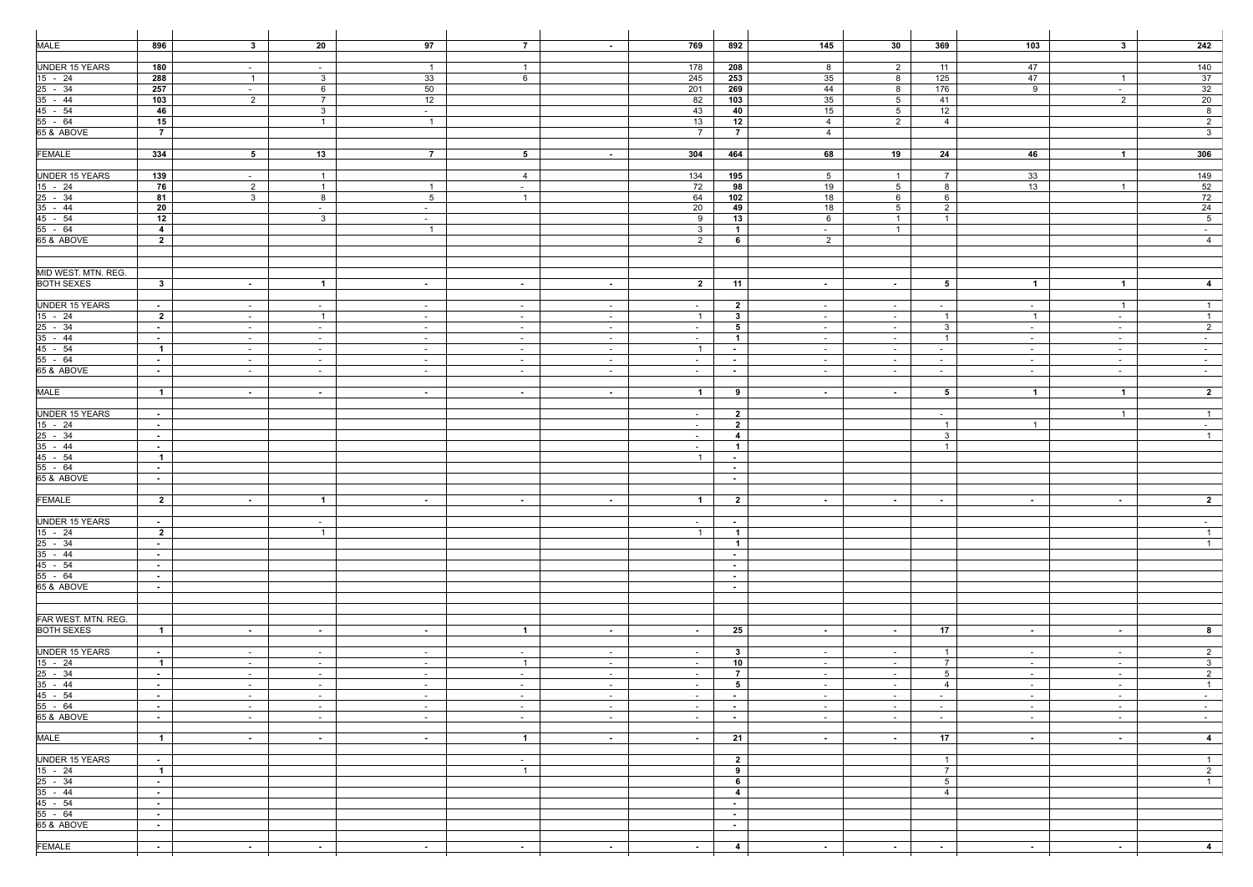| <b>MALE</b>                                                                                                                       | 896                          | $\mathbf{3}$   | 20                       | 97              | $\overline{7}$ | $\sim$           | 769                      | 892                      | 145              | 30 <sub>o</sub> | 369             | 103             | $3^{\circ}$             | 242                          |
|-----------------------------------------------------------------------------------------------------------------------------------|------------------------------|----------------|--------------------------|-----------------|----------------|------------------|--------------------------|--------------------------|------------------|-----------------|-----------------|-----------------|-------------------------|------------------------------|
|                                                                                                                                   |                              |                |                          |                 |                |                  |                          |                          |                  |                 |                 |                 |                         |                              |
| <b>UNDER 15 YEARS</b>                                                                                                             | 180                          | $\sim$         | $\sim$                   | $\overline{1}$  | $\overline{1}$ |                  | 178                      | 208                      | 8                | $\overline{2}$  | 11              | 47              |                         | 140                          |
|                                                                                                                                   | 288                          | $\overline{1}$ | $\mathbf{3}$             | 33              | 6              |                  | 245                      | 253                      | 35               | 8               | 125             | 47              | $\overline{1}$          | 37                           |
|                                                                                                                                   | 257                          | $\sim$         | 6                        | 50              |                |                  | 201                      | 269                      | 44               | 8               | 176             | 9               | $\sim$                  | 32                           |
| $\frac{15 - 24}{25 - 34}$<br>35 - 44                                                                                              | 103                          | $\overline{2}$ | $\overline{7}$           | 12              |                |                  | 82                       | 103                      | 35               | 5 <sup>5</sup>  | 41              |                 | $\overline{2}$          | 20                           |
| $45 - 54$                                                                                                                         | 46                           |                | $\mathbf{3}$             | $\sim$          |                |                  | 43                       | 40                       | 15               | 5 <sup>5</sup>  | 12              |                 |                         | 8                            |
| $55 - 64$                                                                                                                         | 15                           |                | $\mathbf{1}$             | $\overline{1}$  |                |                  | 13                       | 12                       | $\overline{4}$   | $\overline{2}$  | $\overline{4}$  |                 |                         | $\overline{2}$               |
| 65 & ABOVE                                                                                                                        | $\overline{7}$               |                |                          |                 |                |                  | $\overline{7}$           | $\overline{7}$           | $\overline{4}$   |                 |                 |                 |                         | $\overline{\mathbf{3}}$      |
|                                                                                                                                   |                              |                |                          |                 |                |                  |                          |                          |                  |                 |                 |                 |                         |                              |
| <b>FEMALE</b>                                                                                                                     | 334                          | 5 <sup>5</sup> | 13                       | $\overline{7}$  | 5 <sup>5</sup> | $\sim$ 10 $\pm$  | 304                      | 464                      | 68               | 19              | 24              | 46              | $\overline{1}$          | 306                          |
|                                                                                                                                   |                              |                |                          |                 |                |                  |                          |                          |                  |                 |                 |                 |                         |                              |
| <b>UNDER 15 YEARS</b>                                                                                                             | 139                          | $\sim$         | $\overline{1}$           |                 | $\overline{4}$ |                  | 134                      | 195                      | 5 <sup>5</sup>   | $\overline{1}$  | $\overline{7}$  | 33              |                         | 149                          |
| $\frac{15 - 24}{25 - 34}$<br>$\frac{35 - 44}{45 - 54}$                                                                            | 76                           | $\overline{2}$ | $\overline{1}$           | $\overline{1}$  | $\sim$         |                  | 72                       | 98                       | 19               | 5 <sup>5</sup>  | 8               | 13              | $\overline{1}$          | 52                           |
|                                                                                                                                   | 81                           | 3 <sup>1</sup> | 8                        | $5\overline{)}$ | $\overline{1}$ |                  | 64                       | 102                      | 18               | 6               | 6               |                 |                         | 72                           |
|                                                                                                                                   | $20\,$                       |                | $\sim$                   | $\sim$          |                |                  | 20                       | 49                       | $\overline{18}$  | 5 <sup>5</sup>  | $\overline{2}$  |                 |                         | 24                           |
|                                                                                                                                   | 12                           |                | $\mathbf{3}$             | $\sim$          |                |                  | 9                        | 13                       | 6                | $\overline{1}$  | $\overline{1}$  |                 |                         | 5 <sub>5</sub>               |
| 55 - 64                                                                                                                           | $\overline{4}$               |                |                          | $\overline{1}$  |                |                  | $3^{\circ}$              | $\overline{1}$           | $\sim$           | $\overline{1}$  |                 |                 |                         | $\sim$                       |
| 65 & ABOVE                                                                                                                        | $\overline{2}$               |                |                          |                 |                |                  | $\overline{2}$           | 6                        | $\overline{2}$   |                 |                 |                 |                         | $\overline{4}$               |
|                                                                                                                                   |                              |                |                          |                 |                |                  |                          |                          |                  |                 |                 |                 |                         |                              |
|                                                                                                                                   |                              |                |                          |                 |                |                  |                          |                          |                  |                 |                 |                 |                         |                              |
| MID WEST. MTN. REG.                                                                                                               |                              |                |                          |                 |                |                  |                          |                          |                  |                 |                 |                 |                         |                              |
| <b>BOTH SEXES</b>                                                                                                                 | $3^{\circ}$                  | $\sim$         | $\overline{1}$           | $\sim$ $-$      | $\sim$         | $\sim$           | $\overline{2}$           | 11                       | $\sim$           | $\sim$ $-$      | 5               | $\overline{1}$  | $\blacksquare$          | $\overline{4}$               |
|                                                                                                                                   |                              |                |                          |                 |                |                  |                          |                          |                  |                 |                 |                 |                         |                              |
| <b>UNDER 15 YEARS</b>                                                                                                             | $\sim$ 10 $\pm$              | $\sim$         | $\sim$                   | $\sim$          | $\sim$         | $\sim$           | $\sim$                   | $\overline{\mathbf{2}}$  | $\sim$           | $\sim$ $-$      | $\sim$          | $\sim$          | $\overline{1}$          | $\overline{1}$               |
| $15 - 24$                                                                                                                         | $\overline{2}$               | $\sim$         | $\overline{1}$           | $\sim$          | $\sim$ $-$     | $\sim$ $-$       | $\overline{1}$           | $\overline{\mathbf{3}}$  | $\sim$ $-$       | $\sim$          | $\overline{1}$  | $\overline{1}$  | $\sim$                  | $\overline{1}$               |
| $25 - 34$                                                                                                                         | $\sim$                       | $\sim$         | $\sim$                   | $\sim$          | $\sim$         | $\sim$ $-$       | $\sim$                   | 5                        | $\sim$           | $\sim$ $-$      | $\mathbf{3}$    | $\sim$          | $\sim$                  | $2^{\circ}$                  |
| $35 - 44$                                                                                                                         | $\sim$ $-$                   | $\sim$         | $\sim$                   | $\sim$          | $\sim$         | $\sim$           | $\sim$                   | $\overline{1}$           | $\sim$           | $\sim$ $-$      | $\overline{1}$  | $\sim$          | $\sim$                  | $\sim$ 100 $\mu$             |
| $\frac{45 - 54}{55 - 64}$                                                                                                         | $\overline{1}$               | $\sim$         | $\sim$ $-$               | $\sim$          | $\sim$         | $\sim$ $-$       | $\overline{1}$           | $\sim$                   | $\sim$           | $\sim$ $-$      | $\sim$          | $\sim$          | $\sim$                  | $\sim$ $-$                   |
|                                                                                                                                   | $\sim$                       | $\sim$         | $\sim$                   | $\sim$          | $\sim$         | $\sim$ $-$       | $\sim$                   | $\sim$                   | $\sim$           | $\sim$          | $\sim$          | $\sim$          | $\sim$                  | $\sim$ $-$                   |
| 65 & ABOVE                                                                                                                        | $\sim$ $-$                   | $\sim$         | $\sim$ $ \sim$           | $\sim$          | $\sim$         | $\sim$ $-$       | $\sim$                   | <b>Contract</b>          | $\sim$           | $\sim$ $-$      | $\sim$          | $\sim$          | $\sim$                  | $\sim$ 100 $\mu$             |
|                                                                                                                                   |                              |                |                          |                 |                |                  |                          |                          |                  |                 |                 |                 |                         |                              |
| <b>MALE</b>                                                                                                                       | $\overline{1}$               | $\sim$         | $\sim$                   | $\sim$          | $\sim$ $-$     | $\sim$           | $\overline{1}$           | 9                        | $\sim$           | $\sim 10$       | 5               | $\overline{1}$  | $\overline{\mathbf{1}}$ | $\overline{\mathbf{2}}$      |
|                                                                                                                                   |                              |                |                          |                 |                |                  |                          |                          |                  |                 |                 |                 |                         |                              |
| <b>UNDER 15 YEARS</b>                                                                                                             | $\sim$ $-$                   |                |                          |                 |                |                  | $\sim$                   | $\overline{2}$           |                  |                 | $\sim$          |                 | $\overline{1}$          | $\overline{1}$               |
|                                                                                                                                   | $\sim$ $-$                   |                |                          |                 |                |                  | $\sim$                   | $\overline{2}$           |                  |                 | $\overline{1}$  | $\overline{1}$  |                         | $\sim 10^{-11}$              |
|                                                                                                                                   | $\sim$                       |                |                          |                 |                |                  | $\sim$                   | $\overline{4}$           |                  |                 | $\mathbf{3}$    |                 |                         | $\overline{1}$               |
|                                                                                                                                   | $\sim$ $-$                   |                |                          |                 |                |                  | $\sim$ $-$               | $\blacksquare$           |                  |                 | $\overline{1}$  |                 |                         |                              |
| $\frac{15 - 24}{25 - 34}$<br>$\frac{35 - 44}{45 - 54}$<br>$\frac{45 - 54}{55 - 64}$                                               | $\overline{1}$               |                |                          |                 |                |                  | $\overline{1}$           | $\sim$                   |                  |                 |                 |                 |                         |                              |
| 65 & ABOVE                                                                                                                        | $\sim$ $-$                   |                |                          |                 |                |                  |                          | $\sim$                   |                  |                 |                 |                 |                         |                              |
|                                                                                                                                   | $\sim$ $-$                   |                |                          |                 |                |                  |                          | $\sim$                   |                  |                 |                 |                 |                         |                              |
| <b>FEMALE</b>                                                                                                                     | $\overline{2}$               |                |                          |                 |                |                  |                          |                          |                  |                 |                 |                 |                         |                              |
|                                                                                                                                   |                              | $\sim$ $ \sim$ | $\mathbf{1}$             | $\sim 100$      | $\sim$ $-$     | $\sim$ 10 $\pm$  | $\overline{1}$           | $\overline{\mathbf{2}}$  | $\sim$ 100 $\mu$ | <b>Contract</b> | $\sim$ $-$      | <b>Contract</b> | $\sim 100$              | $\mathbf{z}$                 |
| <b>UNDER 15 YEARS</b>                                                                                                             |                              |                |                          |                 |                |                  |                          |                          |                  |                 |                 |                 |                         |                              |
|                                                                                                                                   | $\sim$ $-$<br>$\overline{2}$ |                | $\sim$<br>$\overline{1}$ |                 |                |                  | $\sim$<br>$\overline{1}$ | $\sim$<br>$\overline{1}$ |                  |                 |                 |                 |                         | $\sim$ $-$<br>$\overline{1}$ |
|                                                                                                                                   |                              |                |                          |                 |                |                  |                          | $\overline{1}$           |                  |                 |                 |                 |                         | $\overline{1}$               |
|                                                                                                                                   | $\sim$<br>$\sim$             |                |                          |                 |                |                  |                          | $\sim$                   |                  |                 |                 |                 |                         |                              |
|                                                                                                                                   | $\sim$ $-$                   |                |                          |                 |                |                  |                          | $\sim$                   |                  |                 |                 |                 |                         |                              |
| $\frac{15 - 24}{15 - 24}$ $\frac{25 - 34}{35 - 44}$ $\frac{45 - 54}{55 - 64}$ $\frac{55 - 64}{65 - 84}$ $\frac{55 - 64}{65 - 84}$ | $\sim$ $-$                   |                |                          |                 |                |                  |                          | $\sim$                   |                  |                 |                 |                 |                         |                              |
|                                                                                                                                   | $\sim$                       |                |                          |                 |                |                  |                          | $\sim$                   |                  |                 |                 |                 |                         |                              |
|                                                                                                                                   |                              |                |                          |                 |                |                  |                          |                          |                  |                 |                 |                 |                         |                              |
|                                                                                                                                   |                              |                |                          |                 |                |                  |                          |                          |                  |                 |                 |                 |                         |                              |
| FAR WEST. MTN. REG.                                                                                                               |                              |                |                          |                 |                |                  |                          |                          |                  |                 |                 |                 |                         |                              |
| <b>BOTH SEXES</b>                                                                                                                 | $\overline{1}$               | $\sim$         | $\sim$                   | $\sim$          | $\overline{1}$ | $\sim$ $-$       | $\sim$ $-$               | 25                       | $\sim$           | $\sim 10$       | 17              | $\sim$          | $\sim$ $-$              | 8 <sub>1</sub>               |
|                                                                                                                                   |                              |                |                          |                 |                |                  |                          |                          |                  |                 |                 |                 |                         |                              |
| <b>UNDER 15 YEARS</b>                                                                                                             | $\sim$ $-$                   | $\sim$ $-$     | $\sim$                   | $\sim$          | $\sim$ $-$     | $\sim$ $-$       | $\sim$                   | $\mathbf{3}$             | $\sim$           | $\sim$          | $\overline{1}$  | $\sim$          | $\sim$                  | $\overline{2}$               |
| $15 - 24$                                                                                                                         | $\overline{1}$               | $\sim$         | $\sim$                   | $\sim$          | $\overline{1}$ | $\sim$ $-$       | $\sim$                   | 10                       | $\sim$           | $\sim$          | $\overline{7}$  | $\sim$          | $\sim$                  | $\overline{3}$               |
|                                                                                                                                   | $\sim$ $-$                   | $\sim$         | $\sim$ $-$               | $\sim$          | $\sim$ $ \sim$ | $\sim$ $-$       | $\sim$ $-$               | $\overline{7}$           | $\sim$ $ \sim$   | $\sim$          | $5\overline{)}$ | $\sim$ $-$      | $\sim$ $-$              | $\overline{2}$               |
|                                                                                                                                   | $\sim$                       | $\sim$         | $\sim$                   | $\sim$          | $\sim$         | $\sim$           | $\sim$                   | $5^{\circ}$              | $\sim$           | $\sim$ $-$      | $\overline{4}$  | $\sim$          | $\sim$                  | $\overline{1}$               |
| $\frac{18}{25 - 34}$<br>$\frac{35 - 44}{45 - 54}$<br>$\frac{45 - 54}{55 - 64}$                                                    | $\sim$                       | $\sim$         | $\sim$                   | $\sim$          | $\sim$         | $\sim$ $-$       | $\sim$                   | $\sim$ 10 $\pm$          | $\sim$           | $\sim$          | $\sim$          | $\sim$          | $\sim$                  | $\sim$ $-$                   |
|                                                                                                                                   | $\sim$ $-$                   | $\sim$ $-$     | $\sim$                   | $\sim$          | $\sim$         | $\sim$ 10 $\pm$  | $\sim$                   | $\sim$                   | $\sim$           | $\sim$ $-$      | $\sim$ $-$      | $\sim$          | $\sim$                  | $\sim 100$                   |
| 65 & ABOVE                                                                                                                        | $\sim$ $-$                   | $\sim$         | $\sim$                   | $\sim$          | $\sim$         | $\sim$ 100 $\mu$ | $\sim$                   | $\sim$ 10 $\pm$          | $\sim$ $-$       | $\sim$ $-$      | $\sim$ $-$      | $\sim$ $-$      | $\sim$ $-$              | $\sim$ $-$                   |
|                                                                                                                                   |                              |                |                          |                 |                |                  |                          |                          |                  |                 |                 |                 |                         |                              |
| <b>MALE</b>                                                                                                                       | $\overline{1}$               | $\sim$         | $\sim$                   | $\sim$ $-$      | $\overline{1}$ | $\sim$           | $\sim$ $ \sim$           | 21                       | $\sim$           | $\sim$ $-$      | 17              | $\sim$          | $\sim$                  | $\overline{\phantom{a}}$     |
|                                                                                                                                   |                              |                |                          |                 |                |                  |                          |                          |                  |                 |                 |                 |                         |                              |
| <b>UNDER 15 YEARS</b>                                                                                                             | $\sim$                       |                |                          |                 | $\sim$         |                  |                          | $\overline{2}$           |                  |                 | $\overline{1}$  |                 |                         | $\overline{1}$               |
|                                                                                                                                   | $\overline{1}$               |                |                          |                 | $\overline{1}$ |                  |                          | 9                        |                  |                 | $\overline{7}$  |                 |                         | $\overline{2}$               |
|                                                                                                                                   | $\sim$ $-$                   |                |                          |                 |                |                  |                          | 6                        |                  |                 | $5\overline{)}$ |                 |                         | $\overline{1}$               |
|                                                                                                                                   | $\sim$ $-$                   |                |                          |                 |                |                  |                          | $\overline{4}$           |                  |                 | $\overline{4}$  |                 |                         |                              |
| $\frac{15 - 24}{25 - 34}$<br>$\frac{35 - 44}{55 - 54}$                                                                            | $\sim$ $-$                   |                |                          |                 |                |                  |                          | $\sim$                   |                  |                 |                 |                 |                         |                              |
|                                                                                                                                   | $\sim$                       |                |                          |                 |                |                  |                          | $\sim$                   |                  |                 |                 |                 |                         |                              |
| 65 & ABOVE                                                                                                                        | $\sim$ $-$                   |                |                          |                 |                |                  |                          | $\sim$                   |                  |                 |                 |                 |                         |                              |
|                                                                                                                                   |                              |                |                          |                 |                |                  |                          |                          |                  |                 |                 |                 |                         |                              |
| <b>FEMALE</b>                                                                                                                     | $\sim$                       | $\sim$         | $\sim$                   | $\sim$          | $\sim$         | $\sim$           | $\sim$                   | $\overline{4}$           | $\sim$           | <b>Contract</b> | $\sim$ $-$      | $\sim$          | $\sim$                  | $\overline{4}$               |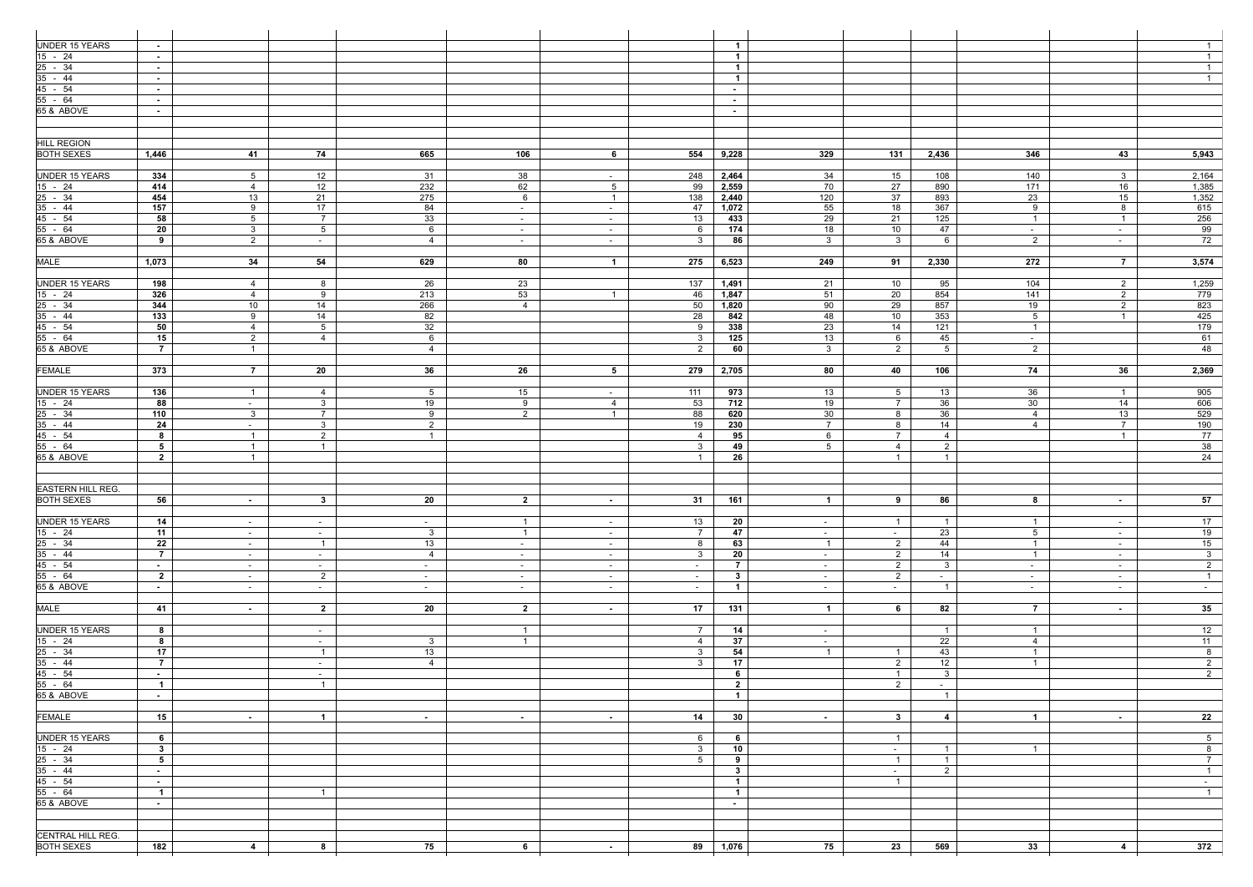| UNDER 15 YEARS                                | $\sim$          |                   |                 |                     |                |                 |                | $\overline{1}$  |                   |                      |                 |                 |                | $\overline{1}$  |
|-----------------------------------------------|-----------------|-------------------|-----------------|---------------------|----------------|-----------------|----------------|-----------------|-------------------|----------------------|-----------------|-----------------|----------------|-----------------|
| $15 - 24$                                     | $\sim$          |                   |                 |                     |                |                 |                | $\overline{1}$  |                   |                      |                 |                 |                | $\overline{1}$  |
| 25 - 34                                       | $\sim$          |                   |                 |                     |                |                 |                | $\overline{1}$  |                   |                      |                 |                 |                | $\mathbf{1}$    |
| $35 - 44$                                     | $\sim$ $-$      |                   |                 |                     |                |                 |                | $\overline{1}$  |                   |                      |                 |                 |                | $\overline{1}$  |
| 45 - 54                                       | $\sim$          |                   |                 |                     |                |                 |                | $\sim$          |                   |                      |                 |                 |                |                 |
| $55 - 64$<br>65 & ABOVE                       | $\sim$ $-$      |                   |                 |                     |                |                 |                | $\sim$ $-$      |                   |                      |                 |                 |                |                 |
|                                               | $\sim$          |                   |                 |                     |                |                 |                | $\sim$          |                   |                      |                 |                 |                |                 |
|                                               |                 |                   |                 |                     |                |                 |                |                 |                   |                      |                 |                 |                |                 |
| <b>HILL REGION</b>                            |                 |                   |                 |                     |                |                 |                |                 |                   |                      |                 |                 |                |                 |
| <b>BOTH SEXES</b>                             | 1,446           | 41                | 74              | 665                 | 106            | 6               | 554            | 9,228           | 329               | 131                  | 2,436           | 346             | 43             | 5,943           |
|                                               |                 |                   |                 |                     |                |                 |                |                 |                   |                      |                 |                 |                |                 |
| <b>UNDER 15 YEARS</b>                         | 334             | 5                 | 12              | -31                 | 38             | $\sim$          | 248            | 2,464           | 34                | 15                   | 108             | 140             | 3              | 2,164           |
| $15 - 24$                                     | 414             | $\overline{4}$    | 12              | 232                 | 62             | $5\overline{)}$ | 99             | 2,559           | 70                | 27                   | 890             | 171             | 16             | 1,385           |
| $25 - 34$                                     | 454             | 13                | 21              | 275                 | 6              | $\overline{1}$  | 138            | 2,440           | 120               | 37                   | 893             | 23              | 15             | 1,352           |
| $35 - 44$                                     | 157             | 9                 | 17              | 84                  | $\sim$         | $\sim$ $-$      | 47             | 1,072           | 55                | 18                   | 367             | 9               | 8              | 615             |
| 45 - 54                                       | 58              | $5\overline{)}$   | $7\overline{ }$ | 33                  | $\sim$         | $\sim$          | 13             | 433             | 29                | 21                   | 125             | $\overline{1}$  | $\overline{1}$ | 256             |
| $55 - 64$<br>65 & ABOVE                       | 20<br>9         | $\mathbf{3}$<br>2 | 5 <sup>5</sup>  | 6<br>$\overline{4}$ | $\sim$         | $\sim$          | -6<br>3        | 174<br>86       | 18<br>$3^{\circ}$ | 10<br>3 <sup>3</sup> | 47<br>6         | $\sim$<br>2     | $\sim$         | 99<br>72        |
|                                               |                 |                   | $\sim$ $-$      |                     | $\sim$         | $\sim$          |                |                 |                   |                      |                 |                 | $\sim$         |                 |
| MALE                                          | 1,073           | 34                | 54              | 629                 | 80             | $\overline{1}$  | 275            | 6,523           | 249               | 91                   | 2,330           | 272             | $\overline{7}$ | 3,574           |
|                                               |                 |                   |                 |                     |                |                 |                |                 |                   |                      |                 |                 |                |                 |
| <b>UNDER 15 YEARS</b>                         | 198             | $\overline{4}$    | 8               | 26                  | 23             |                 | 137            | 1,491           | 21                | 10                   | 95              | 104             | $\overline{2}$ | 1,259           |
| $15 - 24$                                     | 326             | $\overline{4}$    | 9               | 213                 | 53             | $\overline{1}$  | 46             | 1,847           | 51                | 20                   | 854             | 141             | $\overline{2}$ | 779             |
| $25 - 34$                                     | 344             | 10                | 14              | 266                 | 4              |                 | 50             | 1,820           | 90                | 29                   | 857             | 19              | $\overline{2}$ | 823             |
| $35 - 44$                                     | 133             | 9                 | 14              | 82                  |                |                 | 28             | 842             | 48                | 10                   | 353             | $5\overline{)}$ | $\overline{1}$ | 425             |
| 45 - 54                                       | 50              | $\overline{4}$    | 5 <sup>5</sup>  | 32                  |                |                 | 9              | 338             | 23                | 14                   | 121             | $\overline{1}$  |                | 179             |
| 55 - 64                                       | 15              | 2                 | $\overline{4}$  | 6                   |                |                 | 3              | 125             | 13                | 6                    | 45              | $\sim$ $-$      |                | 61              |
| 65 & ABOVE                                    | $\overline{7}$  | $\overline{1}$    |                 | $\overline{4}$      |                |                 | 2              | 60              | 3 <sup>3</sup>    | $\overline{2}$       | $5\overline{)}$ | $\overline{2}$  |                | 48              |
| <b>FEMALE</b>                                 | 373             | $\overline{7}$    | 20              | 36                  | 26             | $5\overline{)}$ | 279            | 2,705           | 80                | 40                   | 106             | 74              | 36             | 2,369           |
|                                               |                 |                   |                 |                     |                |                 |                |                 |                   |                      |                 |                 |                |                 |
| UNDER 15 YEARS                                | 136             | $\overline{1}$    | 4               | 5 <sup>5</sup>      | 15             | $\sim$ $-$      | 111            | 973             | 13                | 5 <sup>5</sup>       | 13              | 36              | $\overline{1}$ | 905             |
| $15 - 24$                                     | 88              | $\sim$ $-$        | 3 <sup>1</sup>  | 19                  | 9              | $\overline{4}$  | 53             | 712             | 19                | $7\overline{ }$      | 36              | 30              | 14             | 606             |
| 25 - 34                                       | 110             | $\mathbf{3}$      | 7 <sup>7</sup>  | 9                   | $2^{\circ}$    | $\overline{1}$  | 88             | 620             | 30                | 8                    | 36              | $\overline{4}$  | 13             | 529             |
| $35 - 44$                                     | 24              | $\sim$            | 3 <sup>1</sup>  | $\overline{2}$      |                |                 | 19             | 230             | $\overline{7}$    | 8                    | 14              | $\overline{4}$  | $\overline{7}$ | 190             |
| 45 - 54                                       | 8               | $\overline{1}$    | $2^{\circ}$     | $\overline{1}$      |                |                 | 4              | 95              | 6                 | $7\overline{ }$      | $\overline{4}$  |                 | $\overline{1}$ | 77              |
| 55 - 64                                       | 5 <sub>5</sub>  | $\overline{1}$    | $\mathbf{1}$    |                     |                |                 | $\mathbf{3}$   | 49              | 5 <sup>5</sup>    | $\overline{4}$       | $\overline{2}$  |                 |                | 38              |
| 65 & ABOVE                                    | $\overline{2}$  | $\overline{1}$    |                 |                     |                |                 | $\mathbf{1}$   | 26              |                   | $\overline{1}$       | $\overline{1}$  |                 |                | 24              |
|                                               |                 |                   |                 |                     |                |                 |                |                 |                   |                      |                 |                 |                |                 |
|                                               |                 |                   |                 |                     |                |                 |                |                 |                   |                      |                 |                 |                |                 |
| <b>EASTERN HILL REG.</b><br><b>BOTH SEXES</b> | 56              |                   | 3 <sup>7</sup>  | 20                  | $\overline{2}$ |                 | 31             | 161             | $\mathbf 1$       | $\bullet$            | 86              | 8               |                | 57              |
|                                               |                 | $\sim$            |                 |                     |                | $\sim$          |                |                 |                   |                      |                 |                 | $\sim$         |                 |
| <b>UNDER 15 YEARS</b>                         | 14              | $\sim$            | $\sim$ $-$      | $\sim$              | $\overline{1}$ | $\sim$ $-$      | 13             | 20              | $\sim$            | $\overline{1}$       |                 | -1              | $\sim$         | 17              |
| 15 - 24                                       | 11              | $\sim$            | $\sim$          | $\mathbf{3}$        | $\overline{1}$ | $\sim$          | $\overline{7}$ | 47              | $\sim$            | $\sim$ $-$           | 23              | 5 <sup>5</sup>  | $\sim$         | 19              |
| $25 - 34$                                     | 22              | $\sim$            | $\overline{1}$  | 13                  | $\sim$         | $\sim$          | 8              | 63              | $\overline{1}$    | $\overline{2}$       | 44              | $\overline{1}$  | $\sim$         | 15              |
| $35 - 44$                                     | $\overline{7}$  | $\sim$            | $\sim$ $-$      | $\overline{4}$      | $\sim$         | $\sim$ $-$      | $\mathbf{3}$   | 20              | $\sim$ $-$        | $\overline{2}$       | 14              | $\overline{1}$  | $\sim$ $-$     | 3 <sup>3</sup>  |
| 45 - 54                                       | $\sim$          | $\sim$            | $\sim$ $-$      | $\sim$              | $\sim$         | $\sim$          | $\sim$         | $\overline{7}$  | $\sim$            | $\overline{2}$       | $\mathbf{3}$    | $\sim$          | $\sim$         | $\overline{2}$  |
| $55 - 64$                                     | $\overline{2}$  | $\sim$            | $\overline{2}$  | $\sim$              | $\sim$         | $\sim$          | $\sim$         | $3^{\circ}$     | $\sim$            | $2^{\circ}$          | $\sim$          | $\sim$          | $\sim$         | $\overline{1}$  |
| 65 & ABOVE                                    | $\sim$ 10 $\pm$ | $\sim$            | $\sim$ $-$      | $\sim$              | $\sim$         | $\sim$          | $\sim$         | $\overline{1}$  | $\sim$            | $\sim$ $-$           | $\overline{1}$  | $\sim$          | $\sim$         | $\sim$ $-$      |
| <b>MALE</b>                                   |                 |                   |                 |                     |                |                 |                |                 |                   |                      |                 |                 |                | 35 <sub>2</sub> |
|                                               | 41              | $\sim$            | $\overline{2}$  | 20                  | $\overline{2}$ | $\sim$          | 17             | 131             | $\overline{1}$    | 6                    | 82              | $\overline{7}$  | $\sim$         |                 |
| UNDER 15 YEARS                                | 8               |                   | $\sim$ $-$      |                     | $\overline{1}$ |                 | $\overline{7}$ | 14              | $\sim$            |                      | $\overline{1}$  | $\overline{1}$  |                | 12              |
| $15 - 24$                                     | 8               |                   | $\sim$          | 3 <sup>3</sup>      | $\overline{1}$ |                 | 4              | 37              | $\sim$            |                      | 22              | 4               |                | 11              |
| $25 - 34$                                     | 17              |                   | $\overline{1}$  | 13                  |                |                 | $\mathbf{3}$   | 54              | $\mathbf{1}$      | $\overline{1}$       | 43              | $\mathbf{1}$    |                | 8               |
| $35 - 44$                                     | $\overline{7}$  |                   | $\sim$ $-$      | $\overline{4}$      |                |                 | $\mathbf{3}$   | 17              |                   | $2^{\circ}$          | 12              | $\overline{1}$  |                | $\overline{2}$  |
| 45 - 54                                       | $\sim$ $-$      |                   | $\sim$          |                     |                |                 |                | 6               |                   | $\mathbf{1}$         | $\mathbf{3}$    |                 |                | $\overline{2}$  |
| 55 - 64                                       | $\overline{1}$  |                   | $\overline{1}$  |                     |                |                 |                | $\overline{2}$  |                   | $\overline{2}$       | $\sim$          |                 |                |                 |
| 65 & ABOVE                                    | $\sim$          |                   |                 |                     |                |                 |                | $\overline{1}$  |                   |                      | $\overline{1}$  |                 |                |                 |
| <b>FEMALE</b>                                 | 15              |                   | $\overline{1}$  |                     |                |                 | 14             | 30 <sub>1</sub> |                   | $3^{\circ}$          | $\overline{4}$  | $\overline{1}$  |                | 22              |
|                                               |                 | $\sim$            |                 | $\sim$              | $\sim$         | $\sim$          |                |                 | $\sim$            |                      |                 |                 | $\sim$         |                 |
| <b>UNDER 15 YEARS</b>                         | 6               |                   |                 |                     |                |                 | 6              | 6               |                   | $\overline{1}$       |                 |                 |                | $\overline{5}$  |
| $15 - 24$                                     | $\mathbf{3}$    |                   |                 |                     |                |                 | $\mathbf{3}$   | 10              |                   | $\sim$ 100 $\mu$     | $\overline{1}$  | $\overline{1}$  |                | 8               |
| $25 - 34$                                     | 5 <sub>5</sub>  |                   |                 |                     |                |                 | 5 <sup>5</sup> | 9               |                   | $\mathbf{1}$         | $\overline{1}$  |                 |                | $\overline{7}$  |
| $35 - 44$                                     | $\sim$          |                   |                 |                     |                |                 |                | $3^{\circ}$     |                   | $\sim$               | 2               |                 |                | $\overline{1}$  |
| 45 - 54                                       | $\sim$ $-$      |                   |                 |                     |                |                 |                | $\overline{1}$  |                   | $\overline{1}$       |                 |                 |                | $\sim$ 10 $\pm$ |
| 55 - 64                                       | $\overline{1}$  |                   | $\overline{1}$  |                     |                |                 |                | $\overline{1}$  |                   |                      |                 |                 |                | $\overline{1}$  |
| 65 & ABOVE                                    | $\sim$ $-$      |                   |                 |                     |                |                 |                | $\sim$          |                   |                      |                 |                 |                |                 |
|                                               |                 |                   |                 |                     |                |                 |                |                 |                   |                      |                 |                 |                |                 |
|                                               |                 |                   |                 |                     |                |                 |                |                 |                   |                      |                 |                 |                |                 |
| CENTRAL HILL REG.<br><b>BOTH SEXES</b>        | 182             | $\overline{4}$    | 8               | 75                  | 6              |                 |                | 1,076           | 75                | 23                   | 569             | 33              | 4              | 372             |
|                                               |                 |                   |                 |                     |                | $\sim$          | 89             |                 |                   |                      |                 |                 |                |                 |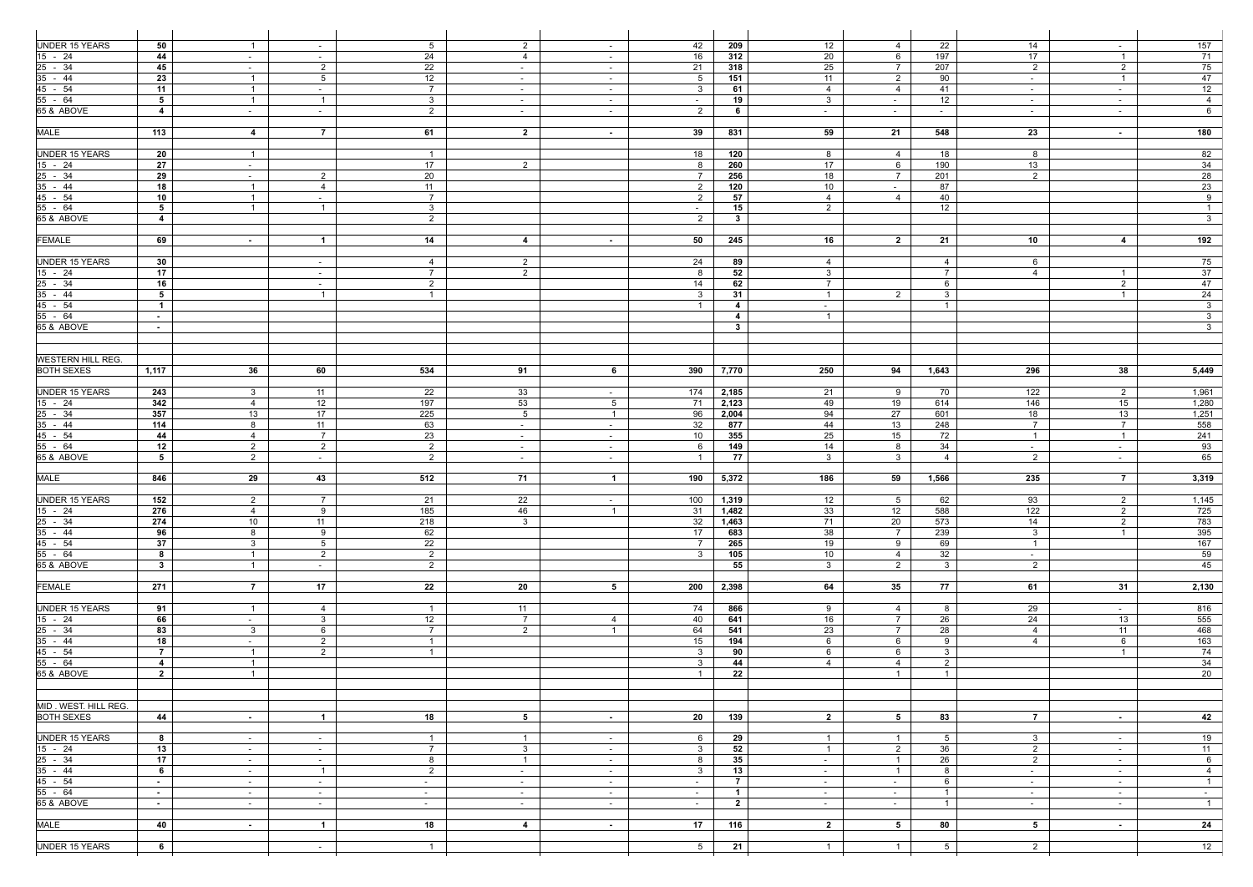| UNDER 15 YEARS            | 50                           | $\overline{1}$ | $\sim$                 | 5 <sup>5</sup>  | $\overline{2}$ | $\sim$           | 42              | 209               | 12              | $\overline{4}$                 | 22               | 14               | $\sim$         | 157                                       |
|---------------------------|------------------------------|----------------|------------------------|-----------------|----------------|------------------|-----------------|-------------------|-----------------|--------------------------------|------------------|------------------|----------------|-------------------------------------------|
| $15 - 24$                 | 44                           | $\sim$         | $\sim$                 | 24              | $\overline{4}$ | $\sim$           | 16              | 312               | 20              | 6                              | 197              | 17               | $\overline{1}$ | 71                                        |
| $25 - 34$                 | 45                           | $\sim$         | $\overline{2}$         | 22              | $\sim$         | $\sim$           | 21              | 318               | 25              | $\overline{7}$                 | 207              | $\overline{2}$   | $\overline{2}$ | 75                                        |
| $\frac{35 - 44}{45 - 54}$ | 23                           | $\overline{1}$ | 5 <sup>5</sup>         | 12              | $\sim$         | $\sim$ $-$       | $5\overline{)}$ | 151               | 11              | $\overline{2}$                 | 90               | $\sim$           | $\overline{1}$ | 47                                        |
|                           | 11                           | $\overline{1}$ | $\sim$ $-$             | $7\overline{ }$ | $\sim$         | $\sim$           | $\mathbf{3}$    | 61                | 4               | 4                              | 41               | $\sim$           | $\sim$         | 12                                        |
| $55 - 64$                 | $5^{\circ}$                  | $\overline{1}$ | $\overline{1}$         | 3 <sup>3</sup>  | $\sim$         | $\sim$           | $\sim$ $-$      | 19                | 3 <sup>3</sup>  | $\sim$                         | 12               | $\sim$           | $\sim$         | $\overline{4}$                            |
| 65 & ABOVE                | $\overline{4}$               | $\sim$         | $\sim$ $-$             | 2               | $\sim$ $-$     | $\sim$ $-$       | $\overline{2}$  | 6                 | $\sim$          | $\sim$ $-$                     | $\sim$ 100 $\pm$ | $\sim$           | $\sim$ $-$     | 6                                         |
|                           |                              |                |                        |                 |                |                  |                 |                   |                 |                                |                  |                  |                |                                           |
| <b>MALE</b>               | 113                          | $\overline{4}$ | $\overline{7}$         | 61              | $\overline{2}$ | $\sim$           | 39              | 831               | 59              | 21                             | 548              | 23               | $\sim$         | 180                                       |
|                           |                              |                |                        |                 |                |                  |                 |                   |                 |                                |                  |                  |                |                                           |
| <b>UNDER 15 YEARS</b>     | 20                           | $\overline{1}$ |                        | $\overline{1}$  |                |                  | 18              | 120               | 8               | $\overline{4}$                 | 18               | 8                |                | 82                                        |
| 15 - 24                   | 27                           | $\sim$         |                        | 17              | 2              |                  | -8              | 260               | 17              | 6                              | 190              | 13               |                | 34                                        |
| $25 - 34$                 | 29                           | $\sim$         | $\overline{2}$         | 20              |                |                  | $\overline{7}$  | 256               | 18              | $7\overline{ }$                | 201              | 2                |                | 28                                        |
| $35 - 44$                 | 18                           | $\overline{1}$ | $\overline{4}$         | 11              |                |                  | $\overline{2}$  | 120               | 10 <sup>°</sup> | $\sim$ 100 $\pm$               | 87               |                  |                | 23                                        |
|                           | 10                           | $\overline{1}$ | $\sim$                 | $7\overline{ }$ |                |                  | $\overline{2}$  | 57                | $\overline{4}$  | 4                              | 40               |                  |                | 9                                         |
| $\frac{45 - 54}{55 - 64}$ | 5 <sub>5</sub>               | $\overline{1}$ | $\overline{1}$         | 3 <sup>1</sup>  |                |                  | $\sim$          | 15                | $\overline{2}$  |                                | 12               |                  |                | $\overline{1}$                            |
| 65 & ABOVE                | $\overline{4}$               |                |                        | $\overline{2}$  |                |                  | 2               | $\mathbf{3}$      |                 |                                |                  |                  |                | 3 <sup>7</sup>                            |
|                           |                              |                |                        |                 |                |                  |                 |                   |                 |                                |                  |                  |                |                                           |
| <b>FEMALE</b>             | 69                           | $\sim$         | $\overline{1}$         | 14              | 4              | $\sim$           | 50              | 245               | 16              | $\overline{2}$                 | 21               | 10               | 4              | 192                                       |
|                           |                              |                |                        |                 |                |                  |                 |                   |                 |                                |                  |                  |                |                                           |
| <b>UNDER 15 YEARS</b>     | 30                           |                |                        | $\overline{4}$  | $\overline{2}$ |                  | 24              | 89                | $\overline{4}$  |                                | 4                | 6                |                | 75                                        |
| $15 - 24$                 | 17                           |                | $\sim$<br>$\sim$       | $7\overline{ }$ | $\overline{2}$ |                  | 8               | 52                | 3 <sup>1</sup>  |                                | $\overline{7}$   | 4                | $\overline{1}$ | 37                                        |
|                           | 16                           |                |                        | 2               |                |                  | 14              | 62                | $\overline{7}$  |                                | 6                |                  | $\overline{2}$ | 47                                        |
| $\frac{25 - 34}{35 - 44}$ | $5\overline{)}$              |                | $\sim$<br>$\mathbf{1}$ | $\overline{1}$  |                |                  | $\mathbf{3}$    | 31                | $\overline{1}$  | $\overline{2}$                 | $\mathbf{3}$     |                  | $\overline{1}$ | 24                                        |
| 45 - 54                   | $\mathbf{1}$                 |                |                        |                 |                |                  | $\mathbf{1}$    | $\overline{4}$    |                 |                                | $\overline{1}$   |                  |                | 3 <sup>1</sup>                            |
| $55 - 64$                 |                              |                |                        |                 |                |                  |                 |                   | $\sim$          |                                |                  |                  |                |                                           |
| 65 & ABOVE                | $\sim$                       |                |                        |                 |                |                  |                 | 4<br>$\mathbf{3}$ | $\overline{1}$  |                                |                  |                  |                | 3 <sup>1</sup><br>$\overline{\mathbf{3}}$ |
|                           | $\sim$                       |                |                        |                 |                |                  |                 |                   |                 |                                |                  |                  |                |                                           |
|                           |                              |                |                        |                 |                |                  |                 |                   |                 |                                |                  |                  |                |                                           |
| <b>WESTERN HILL REG.</b>  |                              |                |                        |                 |                |                  |                 |                   |                 |                                |                  |                  |                |                                           |
| <b>BOTH SEXES</b>         |                              |                |                        |                 |                |                  |                 |                   |                 |                                |                  |                  |                |                                           |
|                           | 1,117                        | 36             | 60                     | 534             | 91             | 6                | 390             | 7,770             | 250             | 94                             | 1,643            | 296              | 38             | 5,449                                     |
|                           |                              |                |                        |                 |                |                  |                 |                   |                 |                                |                  |                  |                |                                           |
| <b>UNDER 15 YEARS</b>     | 243                          | 3 <sup>1</sup> | 11                     | 22              | 33             | $\sim$           | 174             | 2,185             | 21              | 9                              | 70               | 122              | $\overline{2}$ | 1,961                                     |
| $15 - 24$                 | 342                          | $\overline{4}$ | 12                     | 197             | 53             | 5 <sup>5</sup>   | - 71            | 2,123             | 49              | 19                             | 614              | 146              | 15             | 1,280                                     |
| $25 - 34$                 | 357                          | 13             | 17                     | 225             | 5 <sup>5</sup> | $\overline{1}$   | 96              | 2,004             | 94              | 27                             | 601              | 18               | 13             | 1,251                                     |
| $\frac{35 - 44}{45 - 54}$ | 114                          | 8              | 11                     | 63              | $\sim$         | $\sim$           | 32              | 877               | 44              | 13                             | 248              | $7\overline{ }$  | $\overline{7}$ | 558                                       |
|                           | 44                           | $\overline{4}$ | $\overline{7}$         | 23              | $\sim$         | $\sim$           | 10              | 355               | 25              | 15                             | 72               | $\overline{1}$   | $\overline{1}$ | 241                                       |
| $55 - 64$                 | 12                           | 2              | 2                      | $\overline{2}$  | $\sim$         | $\sim$ $-$       | 6               | 149               | 14              | 8                              | 34               | $\sim$ 100 $\mu$ | $\sim$         | 93                                        |
| 65 & ABOVE                | 5                            | $\overline{2}$ | $\sim$                 | $\overline{2}$  | $\sim$         | $\sim$           | $\overline{1}$  | 77                | $\mathbf{3}$    | 3 <sup>1</sup>                 | $\overline{4}$   | $\overline{2}$   | $\sim$         | 65                                        |
|                           |                              |                |                        |                 |                |                  |                 |                   |                 |                                |                  |                  |                |                                           |
| <b>MALE</b>               | 846                          | 29             | 43                     | 512             | 71             | $\overline{1}$   | 190             | 5,372             | 186             | 59                             | 1,566            | 235              | $\overline{7}$ | 3,319                                     |
|                           |                              |                |                        |                 |                |                  |                 |                   |                 |                                |                  |                  |                |                                           |
| <b>UNDER 15 YEARS</b>     | 152                          | $\mathbf{2}$   | 7                      | 21              | 22             | $\sim$           | 100             | 1,319             | 12              | 5                              | 62               | 93               | $\mathbf{2}$   | 1,145                                     |
| $\frac{15 - 24}{25 - 34}$ | 276                          | $\overline{4}$ | 9                      | 185             | 46             | $\overline{1}$   | 31              | 1,482             | 33              | 12                             | 588              | 122              | 2              | 725                                       |
|                           | 274                          | 10             | 11                     | 218             | $\mathbf{3}$   |                  | 32              | 1,463             | 71              | 20                             | 573              | 14               | $\overline{2}$ | 783                                       |
| $35 - 44$                 | 96                           | 8              | 9                      | 62              |                |                  | 17              | 683               | 38              | $7\overline{ }$                | 239              | 3 <sup>3</sup>   | $\overline{1}$ | 395                                       |
| $45 - 54$                 | 37                           | $\mathbf{3}$   | $5\overline{)}$        | 22              |                |                  | $\overline{7}$  | 265               | 19              | 9                              | 69               | $\overline{1}$   |                | 167                                       |
| $55 - 64$                 | 8                            | $\overline{1}$ | $\overline{2}$         | $\overline{2}$  |                |                  | $3^{\circ}$     | 105               | 10              | $\overline{4}$                 | 32               | $\sim$           |                | 59                                        |
| 65 & ABOVE                | 3 <sup>1</sup>               | $\overline{1}$ | $\sim$ $-$             | $\overline{2}$  |                |                  |                 | 55                | 3 <sup>3</sup>  | $\overline{2}$                 | $\mathbf{3}$     | $\overline{2}$   |                | 45                                        |
|                           |                              |                |                        |                 |                |                  |                 |                   |                 |                                |                  |                  |                |                                           |
| <b>FEMALE</b>             | 271                          | $\overline{7}$ | 17                     | 22              | 20             | 5 <sub>5</sub>   | 200             | 2,398             | 64              | 35                             | 77               | 61               | 31             | 2,130                                     |
|                           |                              |                |                        |                 |                |                  |                 |                   |                 |                                |                  |                  |                |                                           |
| <b>UNDER 15 YEARS</b>     | 91                           | $\overline{1}$ | $\overline{4}$         | $\mathbf{1}$    | 11             |                  | 74              | 866               | 9               | $\overline{4}$                 | 8                | 29               | $\sim$ $-$     | 816                                       |
| $15 - 24$                 | 66                           | $\sim$         | 3 <sup>1</sup>         | 12              | $\overline{7}$ | $\overline{4}$   | 40              | 641               | 16              | $7\overline{ }$                | 26               | 24               | 13             | 555                                       |
|                           | 83                           | $\mathbf{3}$   | 6                      | $\overline{7}$  | 2              | $\overline{1}$   | 64              | 541               | 23              | $7\overline{ }$                | 28               | $\overline{4}$   | 11             | 468                                       |
| $\frac{25 - 34}{35 - 44}$ | 18                           | $\sim$         | $\overline{2}$         | $\overline{1}$  |                |                  | 15              | 194               | 6               | 6                              | 9                | $\overline{4}$   | 6              | $\overline{163}$                          |
|                           | 7 <sup>7</sup>               | $\overline{1}$ | $\overline{2}$         | $\overline{1}$  |                |                  | $\mathbf{3}$    | 90                | 6               | 6                              | $\mathbf{3}$     |                  | $\overline{1}$ | 74                                        |
| $\frac{45 - 54}{55 - 64}$ | $\overline{4}$               | $\overline{1}$ |                        |                 |                |                  | 3               | 44                | $\overline{4}$  | $\overline{4}$                 | $\overline{2}$   |                  |                | 34                                        |
| 65 & ABOVE                | $\overline{2}$               | $\overline{1}$ |                        |                 |                |                  | $\overline{1}$  | 22                |                 | $\overline{1}$                 | $\overline{1}$   |                  |                | 20                                        |
|                           |                              |                |                        |                 |                |                  |                 |                   |                 |                                |                  |                  |                |                                           |
|                           |                              |                |                        |                 |                |                  |                 |                   |                 |                                |                  |                  |                |                                           |
| MID. WEST. HILL REG.      |                              |                |                        |                 |                |                  |                 |                   |                 |                                |                  |                  |                |                                           |
| <b>BOTH SEXES</b>         | 44                           | $\sim$ $-$     | $\mathbf{1}$           | 18              | 5              | $\sim$ 100 $\mu$ | 20              | 139               | $\overline{2}$  | 5 <sub>5</sub>                 | 83               | $\overline{7}$   | $\sim$         | 42                                        |
|                           |                              |                |                        |                 |                |                  |                 |                   |                 |                                |                  |                  |                |                                           |
| <b>UNDER 15 YEARS</b>     | 8                            | $\sim$         | $\sim$                 | $\overline{1}$  | $\overline{1}$ | $\sim$ $-$       | 6               | 29                | $\overline{1}$  | $\overline{1}$                 | 5                | $\mathbf{3}$     | $\sim$         | 19                                        |
| $15 - 24$                 | 13                           | $\sim$         | $\sim$                 | $\overline{7}$  | $\mathbf{3}$   | $\sim$           | $\mathbf{3}$    | 52                | $\overline{1}$  | 2                              | 36               | $\overline{2}$   | $\sim$         | 11                                        |
| $25 - 34$                 | 17                           | $\sim$         | $\sim$                 | 8               | $\overline{1}$ | $\sim$           | 8               | 35                | $\sim$          | $\overline{1}$                 | 26               | $2^{\circ}$      | $\sim$         | $6\overline{6}$                           |
| $35 - 44$                 | $6^{\circ}$                  |                | $\overline{1}$         | $\overline{2}$  |                | $\sim$ $-$       | $\mathbf{3}$    | 13                |                 | $\overline{1}$                 | 8                |                  |                | $\overline{4}$                            |
| $45 - 54$                 | $\sim$ 10 $\pm$              | $\sim$         |                        |                 | $\sim$ $-$     |                  |                 | $\overline{7}$    | $\sim$          | $\sim$                         | 6                | $\sim$ $-$       | $\sim$         | 1                                         |
| $55 - 64$                 |                              | $\sim$         | $\sim$ $-$             | $\sim$          | $\sim$         | $\sim$           | $\sim$          | $\overline{1}$    | $\sim$          |                                | $\overline{1}$   | $\sim$           | $\sim$         |                                           |
| 65 & ABOVE                | $\sim 10^{-11}$<br>$\sim 10$ | $\sim$         | $\sim$                 | $\sim$          | $\sim$ $ \sim$ | $\sim$ $-$       | $\sim$ $-$      | $\overline{2}$    | $\sim$          | $\sim$ 100 $\pm$<br>$\sim$ $-$ | $\overline{1}$   | $\sim$ $ \sim$   | $\sim$         | $\sim 10^{-11}$<br>$\overline{1}$         |
|                           |                              | $\sim$         | $\sim$                 | $\sim$          | $\sim$         | $\sim$           | $\sim$          |                   | $\sim$ $-$      |                                |                  | $\sim$           | $\sim$         |                                           |
| <b>MALE</b>               | 40                           |                | $\overline{1}$         | 18              | $\overline{4}$ |                  | 17              | 116               | $2^{\circ}$     | 5 <sub>5</sub>                 | 80               | 5 <sub>5</sub>   |                | 24                                        |
|                           |                              | $\sim$         |                        |                 |                | $\sim$           |                 |                   |                 |                                |                  |                  | $\sim$         |                                           |
| UNDER 15 YEARS            |                              |                |                        | $\mathbf{1}$    |                |                  |                 |                   | $\overline{1}$  | $\overline{1}$                 |                  |                  |                |                                           |
|                           | 6                            |                | $\sim$                 |                 |                |                  | $5\overline{)}$ | 21                |                 |                                | $5\overline{)}$  | $\overline{2}$   |                | 12                                        |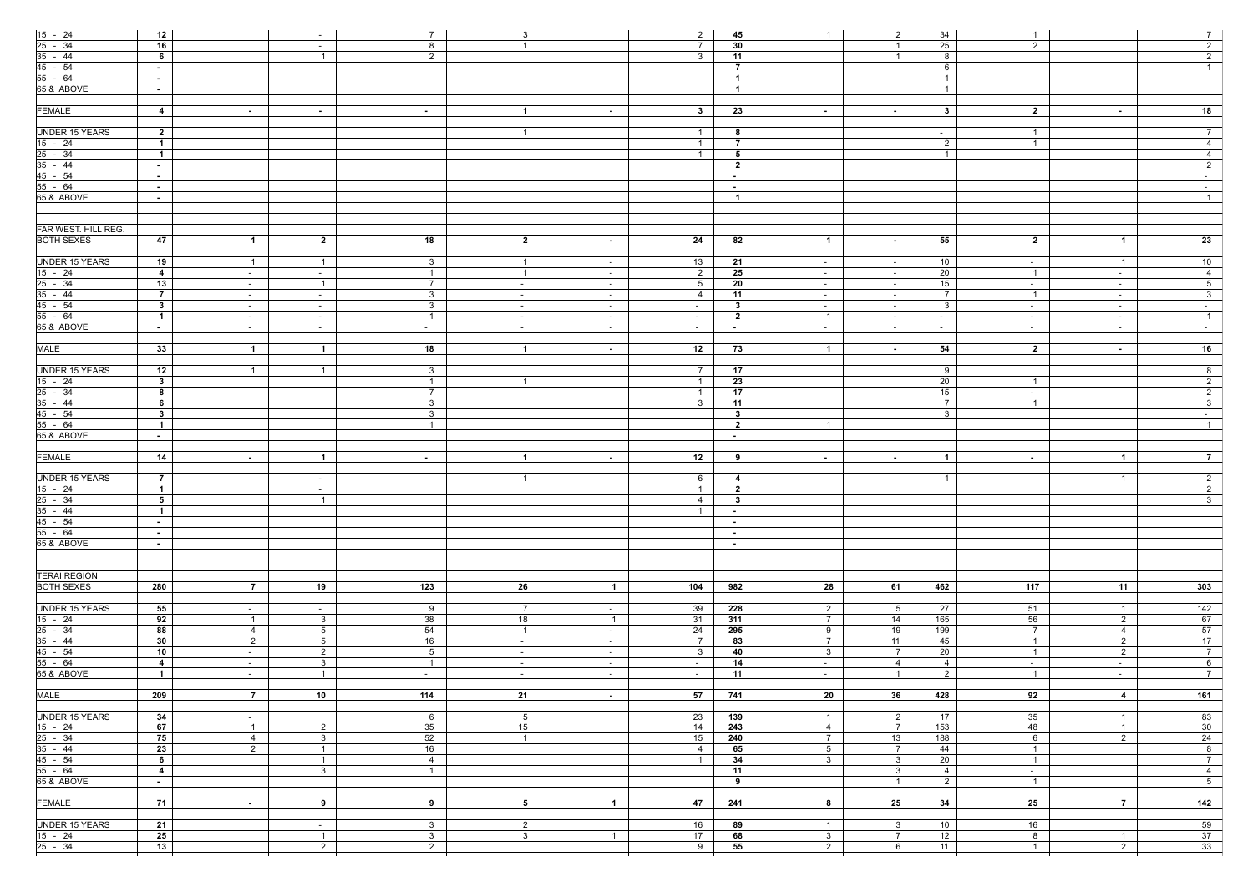|                                                        | 12              |                |                                  | $7\overline{ }$                  | 3                       |                | $\overline{2}$  | 45                      | $\mathbf{1}$                     | $\overline{2}$                    |                | $\overline{1}$      |                               | $7 \mid$        |
|--------------------------------------------------------|-----------------|----------------|----------------------------------|----------------------------------|-------------------------|----------------|-----------------|-------------------------|----------------------------------|-----------------------------------|----------------|---------------------|-------------------------------|-----------------|
| $\frac{15 - 24}{25 - 34}$<br>$\frac{35 - 44}{45 - 54}$ | 16              |                | $\sim$                           |                                  | $\overline{1}$          |                | $\overline{7}$  | 30                      |                                  | $\overline{1}$                    | 34             |                     |                               | $\overline{2}$  |
|                                                        |                 |                | $\sim$                           | 8                                |                         |                |                 |                         |                                  |                                   | 25             | $2^{\circ}$         |                               |                 |
|                                                        | 6               |                | $\overline{1}$                   | $\overline{2}$                   |                         |                | $\mathbf{3}$    | 11                      |                                  | $\overline{1}$                    | 8              |                     |                               | $\overline{2}$  |
|                                                        | $\sim$ $-$      |                |                                  |                                  |                         |                |                 | $\overline{7}$          |                                  |                                   | 6              |                     |                               | 1               |
| $55 - 64$                                              | $\sim$ $-$      |                |                                  |                                  |                         |                |                 | $\overline{1}$          |                                  |                                   | $\overline{1}$ |                     |                               |                 |
| 65 & ABOVE                                             | $\sim$ $-$      |                |                                  |                                  |                         |                |                 | $\overline{1}$          |                                  |                                   | $\overline{1}$ |                     |                               |                 |
|                                                        |                 |                |                                  |                                  |                         |                |                 |                         |                                  |                                   |                |                     |                               |                 |
| <b>FEMALE</b>                                          | $\overline{4}$  | $\sim$         | $\sim$                           | $\sim$                           | $\overline{1}$          | $\sim$         | $3^{\circ}$     | 23                      | $\sim$                           | $\sim$ 100 $\mu$                  | 3 <sup>1</sup> | $\overline{2}$      | $\sim$                        | 18              |
|                                                        |                 |                |                                  |                                  |                         |                |                 |                         |                                  |                                   |                |                     |                               |                 |
| <b>UNDER 15 YEARS</b>                                  | $\overline{2}$  |                |                                  |                                  | $\overline{1}$          |                | $\overline{1}$  | 8                       |                                  |                                   | $\sim$         | $\overline{1}$      |                               | $7\overline{ }$ |
| $15 - 24$                                              | $\overline{1}$  |                |                                  |                                  |                         |                | $\overline{1}$  | $\overline{7}$          |                                  |                                   | $\overline{2}$ | $\overline{1}$      |                               | $\overline{4}$  |
|                                                        | $\overline{1}$  |                |                                  |                                  |                         |                | $\overline{1}$  | 5                       |                                  |                                   | $\overline{1}$ |                     |                               | $\overline{4}$  |
|                                                        |                 |                |                                  |                                  |                         |                |                 | $\overline{2}$          |                                  |                                   |                |                     |                               | $\overline{2}$  |
| $\frac{25 - 34}{35 - 44}$<br>45 - 54                   | $\sim$ $-$      |                |                                  |                                  |                         |                |                 |                         |                                  |                                   |                |                     |                               |                 |
|                                                        | $\sim$ $-$      |                |                                  |                                  |                         |                |                 | $\sim$                  |                                  |                                   |                |                     |                               | $\sim$          |
| $55 - 64$                                              | $\sim$          |                |                                  |                                  |                         |                |                 | $\sim$                  |                                  |                                   |                |                     |                               | $\sim$ $-$      |
| 65 & ABOVE                                             | $\sim$ $-$      |                |                                  |                                  |                         |                |                 | $\overline{1}$          |                                  |                                   |                |                     |                               | $\overline{1}$  |
|                                                        |                 |                |                                  |                                  |                         |                |                 |                         |                                  |                                   |                |                     |                               |                 |
|                                                        |                 |                |                                  |                                  |                         |                |                 |                         |                                  |                                   |                |                     |                               |                 |
| FAR WEST. HILL REG.                                    |                 |                |                                  |                                  |                         |                |                 |                         |                                  |                                   |                |                     |                               |                 |
| <b>BOTH SEXES</b>                                      | 47              | $\overline{1}$ | $\overline{2}$                   | 18                               | $\overline{\mathbf{2}}$ | $\sim$         | 24              | 82                      | $\mathbf{1}$                     | $\sim 100$                        | 55             | $\overline{2}$      | $\overline{1}$                | 23              |
|                                                        |                 |                |                                  |                                  |                         |                |                 |                         |                                  |                                   |                |                     |                               |                 |
| <b>UNDER 15 YEARS</b>                                  | 19              | $\overline{1}$ | $\mathbf{1}$                     | 3 <sup>1</sup>                   | $\overline{1}$          | $\sim$ $-$     | 13              | 21                      | $\sim$                           | $\sim$                            | 10             | $\sim$ $-$          | $\overline{1}$                | 10              |
| $15 - 24$                                              | $\overline{4}$  | $\sim$         | $\sim$                           | $\overline{1}$                   | $\overline{1}$          | $\sim$         | $\overline{2}$  | 25                      | $\sim$                           | $\sim$                            | 20             | $\overline{1}$      | $\sim$                        | $\overline{4}$  |
|                                                        | 13              |                | $\overline{1}$                   | $\overline{7}$                   |                         |                | $5\overline{)}$ | 20                      |                                  | $\sim$                            | 15             | $\sim$              |                               | 5 <sup>7</sup>  |
| $\frac{25 - 34}{35 - 44}$                              |                 | $\sim$         |                                  |                                  | $\sim$                  | $\sim$         |                 |                         | $\sim$                           |                                   |                |                     | $\sim$                        |                 |
|                                                        | $\overline{7}$  | $\sim$ $-$     | $\sim$                           | 3 <sup>3</sup>                   | $\sim$                  | $\sim$ $-$     | $\overline{4}$  | 11                      | $\sim$                           | $\sim$                            | $\overline{7}$ | $\overline{1}$      | $\sim$                        | $\overline{3}$  |
| 45 - 54                                                | $3^{\circ}$     | $\sim$ $ \sim$ | $\sim$                           | 3 <sup>1</sup>                   | $\sim$ $-$              | $\sim$ $ \sim$ | $\sim$ $-$      | $\mathbf{3}$            | $\sim$                           | $\sim$ $-$                        | $\mathbf{3}$   | $\sim$ $-$          | $\sim$ $ \sim$                | $\sim 10^{-1}$  |
| 55 - 64                                                | $\mathbf{1}$    | $\sim$         | $\sim$ $-$                       | $\overline{1}$                   | $\sim$                  | $\sim$ $-$     | $\sim$          | $\overline{\mathbf{2}}$ | $\overline{1}$                   | $\sim$ $-$                        | $\sim$         | $\sim$              | $\sim$                        | $\overline{1}$  |
| 65 & ABOVE                                             | $\sim$          | $\sim$         | $\sim$                           | $\sim$                           | $\sim$                  | $\sim$ $-$     | $\sim$          | $\sim$                  | $\sim$ $-$                       | $\sim$                            | $\sim$ $-$     | $\sim$              | $\sim$                        | $\sim$ $-$      |
|                                                        |                 |                |                                  |                                  |                         |                |                 |                         |                                  |                                   |                |                     |                               |                 |
| <b>MALE</b>                                            | 33              | $\overline{1}$ | $\mathbf 1$                      | 18                               | $\blacksquare$          | $\sim$ $-$     | 12              | 73                      | $\overline{1}$                   | $\sim 100$                        | 54             | $\overline{2}$      | $\sim$                        | 16              |
|                                                        |                 |                |                                  |                                  |                         |                |                 |                         |                                  |                                   |                |                     |                               |                 |
| <b>UNDER 15 YEARS</b>                                  | $\overline{12}$ | $\overline{1}$ | $\overline{1}$                   | 3 <sup>3</sup>                   |                         |                | $7\overline{ }$ | 17                      |                                  |                                   | 9              |                     |                               | $\infty$        |
| $15 - 24$                                              | 3               |                |                                  | $\overline{1}$                   | $\overline{1}$          |                | $\overline{1}$  | 23                      |                                  |                                   | 20             | $\overline{1}$      |                               | $\overline{2}$  |
|                                                        | 8               |                |                                  | $7\overline{ }$                  |                         |                |                 | 17                      |                                  |                                   | 15             |                     |                               | $\overline{2}$  |
| $\frac{25 - 34}{35 - 44}$                              |                 |                |                                  |                                  |                         |                | $\overline{1}$  |                         |                                  |                                   |                | $\sim$              |                               |                 |
|                                                        | 6               |                |                                  | 3 <sup>3</sup>                   |                         |                | $\mathbf{3}$    | 11                      |                                  |                                   | $\overline{7}$ | $\overline{1}$      |                               | $\overline{3}$  |
| 45 - 54                                                | $3^{\circ}$     |                |                                  | 3 <sup>1</sup>                   |                         |                |                 | 3 <sup>1</sup>          |                                  |                                   | $\mathbf{3}$   |                     |                               | $\sim$ $-$      |
| 55 - 64                                                | $\mathbf{1}$    |                |                                  | $\overline{1}$                   |                         |                |                 | $\overline{2}$          | $\overline{1}$                   |                                   |                |                     |                               | 1               |
| 65 & ABOVE                                             | $\sim$ $-$      |                |                                  |                                  |                         |                |                 | $\sim$                  |                                  |                                   |                |                     |                               |                 |
|                                                        |                 |                |                                  |                                  |                         |                |                 |                         |                                  |                                   |                |                     |                               |                 |
| <b>FEMALE</b>                                          | 14              | $\sim$ $-$     | $\mathbf 1$                      | $\sim$                           | $\overline{1}$          | $\sim$ $-$     | 12              | 9                       | $\sim$                           | $\sim$ 100 $\mu$                  | $\overline{1}$ | $\sim$ $-$          | $\overline{\mathbf{1}}$       | $\overline{7}$  |
|                                                        |                 |                |                                  |                                  |                         |                |                 |                         |                                  |                                   |                |                     |                               |                 |
| UNDER 15 YEARS                                         | $\overline{7}$  |                | $\sim$                           |                                  | $\overline{1}$          |                | 6               | $\overline{4}$          |                                  |                                   | $\overline{1}$ |                     | $\overline{1}$                | $\overline{2}$  |
| $15 - 24$                                              | $\overline{1}$  |                | $\sim$                           |                                  |                         |                | $\overline{1}$  | $\overline{2}$          |                                  |                                   |                |                     |                               | $\overline{2}$  |
|                                                        |                 |                |                                  |                                  |                         |                |                 |                         |                                  |                                   |                |                     |                               |                 |
|                                                        | 5               |                | -1                               |                                  |                         |                | 4               | $\mathbf{3}$            |                                  |                                   |                |                     |                               | 3 <sup>1</sup>  |
| $\frac{25 - 34}{35 - 44}$<br>45 - 54                   | $\overline{1}$  |                |                                  |                                  |                         |                | $\overline{1}$  | $\sim$                  |                                  |                                   |                |                     |                               |                 |
|                                                        | $\sim$          |                |                                  |                                  |                         |                |                 | $\sim$                  |                                  |                                   |                |                     |                               |                 |
| $55 - 64$                                              | $\sim$ $ \sim$  |                |                                  |                                  |                         |                |                 | $\sim$                  |                                  |                                   |                |                     |                               |                 |
| 65 & ABOVE                                             | $\sim$          |                |                                  |                                  |                         |                |                 | $\sim$                  |                                  |                                   |                |                     |                               |                 |
|                                                        |                 |                |                                  |                                  |                         |                |                 |                         |                                  |                                   |                |                     |                               |                 |
|                                                        |                 |                |                                  |                                  |                         |                |                 |                         |                                  |                                   |                |                     |                               |                 |
| <b>TERAI REGION</b>                                    |                 |                |                                  |                                  |                         |                |                 |                         |                                  |                                   |                |                     |                               |                 |
| <b>BOTH SEXES</b>                                      | 280             | $\overline{7}$ | 19                               | 123                              | 26                      | $\overline{1}$ | 104             | 982                     | 28                               | 61                                | 462            | 117                 | 11                            | 303             |
|                                                        |                 |                |                                  |                                  |                         |                |                 |                         |                                  |                                   |                |                     |                               |                 |
|                                                        |                 |                |                                  |                                  |                         |                |                 |                         |                                  |                                   |                |                     |                               |                 |
| <b>UNDER 15 YEARS</b>                                  | 55              | $\sim$         | $\sim$ $-$                       | 9                                | $\overline{7}$          | $\sim$ $-$     | 39              | 228                     | $\overline{2}$                   | 5 <sup>5</sup>                    | 27             | 51                  | $\overline{1}$                | 142             |
| $\frac{15 - 24}{25 - 34}$<br>35 - 44                   | 92              | $\overline{1}$ | 3 <sup>1</sup>                   | 38                               | 18                      | $\overline{1}$ | 31              | 311                     | $7\overline{ }$                  | 14                                | 165            | 56                  | $\overline{2}$                | 67              |
|                                                        | 88              | $\overline{4}$ | 5 <sub>5</sub>                   | 54                               | $\overline{1}$          | $\sim$ $-$     | 24              | 295                     | 9                                | 19                                | 199            | $7\overline{ }$     | $\overline{4}$                | 57              |
|                                                        | 30 <sub>o</sub> | $\overline{2}$ | 5 <sub>5</sub>                   | 16                               | $\sim$                  | $\sim$         | $\overline{7}$  | 83                      | $7\overline{ }$                  | 11                                | 45             | $\overline{1}$      | $\overline{2}$                | 17              |
| 45 - 54                                                | 10              | $\sim$         | $2^{\circ}$                      | 5 <sup>5</sup>                   | $\sim$ $-$              | $\sim$ $ \sim$ | $\mathbf{3}$    | 40                      | 3 <sup>3</sup>                   | $\overline{7}$                    | 20             | $\overline{1}$      | $\overline{2}$                | $7\overline{ }$ |
| $55 - 64$                                              | $\overline{4}$  | $\sim$         | 3 <sup>1</sup>                   | $\overline{1}$                   | $\sim$                  | $\sim$         | $\sim$          | 14                      | $\sim$                           | $\overline{4}$                    | $\overline{4}$ | $\sim$              | $\sim$                        | $6\overline{6}$ |
| 65 & ABOVE                                             | $\mathbf{1}$    | $\sim$         | $\mathbf{1}$                     | $\sim$                           | $\sim$                  | $\sim$         | $\sim$          | 11                      | $\sim$                           | $\overline{1}$                    | 2              | $\overline{1}$      | $\sim$                        | $\overline{7}$  |
|                                                        |                 |                |                                  |                                  |                         |                |                 |                         |                                  |                                   |                |                     |                               |                 |
| <b>MALE</b>                                            | 209             | $\overline{7}$ | 10                               | 114                              | 21                      | $\sim$         | 57              | 741                     | 20                               | 36                                | 428            | 92                  | $\overline{4}$                | 161             |
|                                                        |                 |                |                                  |                                  |                         |                |                 |                         |                                  |                                   |                |                     |                               |                 |
| <b>UNDER 15 YEARS</b>                                  | 34              |                |                                  | 6                                | 5 <sup>5</sup>          |                |                 |                         |                                  |                                   | 17             | 35                  |                               | 83              |
|                                                        |                 | $\sim$         |                                  |                                  |                         |                | 23              | 139                     | $\overline{1}$                   | $\overline{2}$                    |                |                     | $\overline{1}$                |                 |
| $15 - 24$                                              | 67              | $\overline{1}$ | $\overline{2}$                   | 35                               | 15                      |                | 14              | 243                     | 4                                | $7\overline{ }$                   | 153            | 48                  | $\overline{1}$                | 30              |
|                                                        | 75              | $\overline{4}$ | 3 <sup>1</sup>                   | 52                               | $\overline{1}$          |                | 15              | 240                     | $7\overline{ }$                  | 13                                | 188            | 6                   | $\overline{2}$                | 24              |
|                                                        |                 | $\overline{2}$ | $\overline{1}$                   | 16                               |                         |                | $\overline{4}$  | 65                      | 5 <sub>5</sub>                   | $\overline{7}$                    | 44             | $\overline{1}$      |                               | 8               |
|                                                        | 23              |                |                                  |                                  |                         |                | $\overline{1}$  | 34                      | 3 <sup>3</sup>                   | 3 <sup>1</sup>                    | 20             | $\overline{1}$      |                               | $\overline{7}$  |
| $\frac{25 - 34}{35 - 44}$<br>$45 - 54$                 | 6               |                | $\overline{1}$                   | $\overline{4}$                   |                         |                |                 |                         |                                  |                                   |                |                     |                               | $\overline{4}$  |
|                                                        | $\overline{4}$  |                | $\mathbf{3}$                     | $\overline{1}$                   |                         |                |                 | 11                      |                                  | 3 <sup>3</sup>                    | $\overline{4}$ | $\sim$ $-$          |                               |                 |
| 55 - 64                                                | $\sim$ $-$      |                |                                  |                                  |                         |                |                 | 9                       |                                  | $\overline{1}$                    | $\overline{2}$ | $\overline{1}$      |                               | 5 <sub>1</sub>  |
| 65 & ABOVE                                             |                 |                |                                  |                                  |                         |                |                 |                         |                                  |                                   |                |                     |                               |                 |
|                                                        |                 |                |                                  |                                  |                         |                |                 |                         |                                  |                                   |                |                     |                               |                 |
| <b>FEMALE</b>                                          | 71              | $\sim$ $-$     | 9                                | 9                                | 5 <sub>5</sub>          | $\overline{1}$ | 47              | 241                     | 8                                | 25                                | 34             | 25                  | $\overline{7}$                | 142             |
|                                                        |                 |                |                                  |                                  |                         |                |                 |                         |                                  |                                   |                |                     |                               |                 |
| <b>UNDER 15 YEARS</b>                                  | 21              |                | $\sim$                           | 3 <sup>3</sup>                   | $2^{\circ}$             |                | 16              | 89                      | $\overline{1}$                   | 3 <sup>1</sup>                    | 10             | 16                  |                               | 59              |
| $15 - 24$<br>$25 - 34$                                 | 25<br>13        |                | $\overline{1}$<br>$\overline{2}$ | 3 <sup>3</sup><br>$\overline{2}$ | 3 <sup>1</sup>          | $\overline{1}$ | 17<br>9         | 68<br>55                | 3 <sup>3</sup><br>$\overline{2}$ | $\overline{7}$<br>$6\overline{6}$ | 12<br>11       | 8<br>$\overline{1}$ | $\overline{1}$<br>$2^{\circ}$ | 37<br>33        |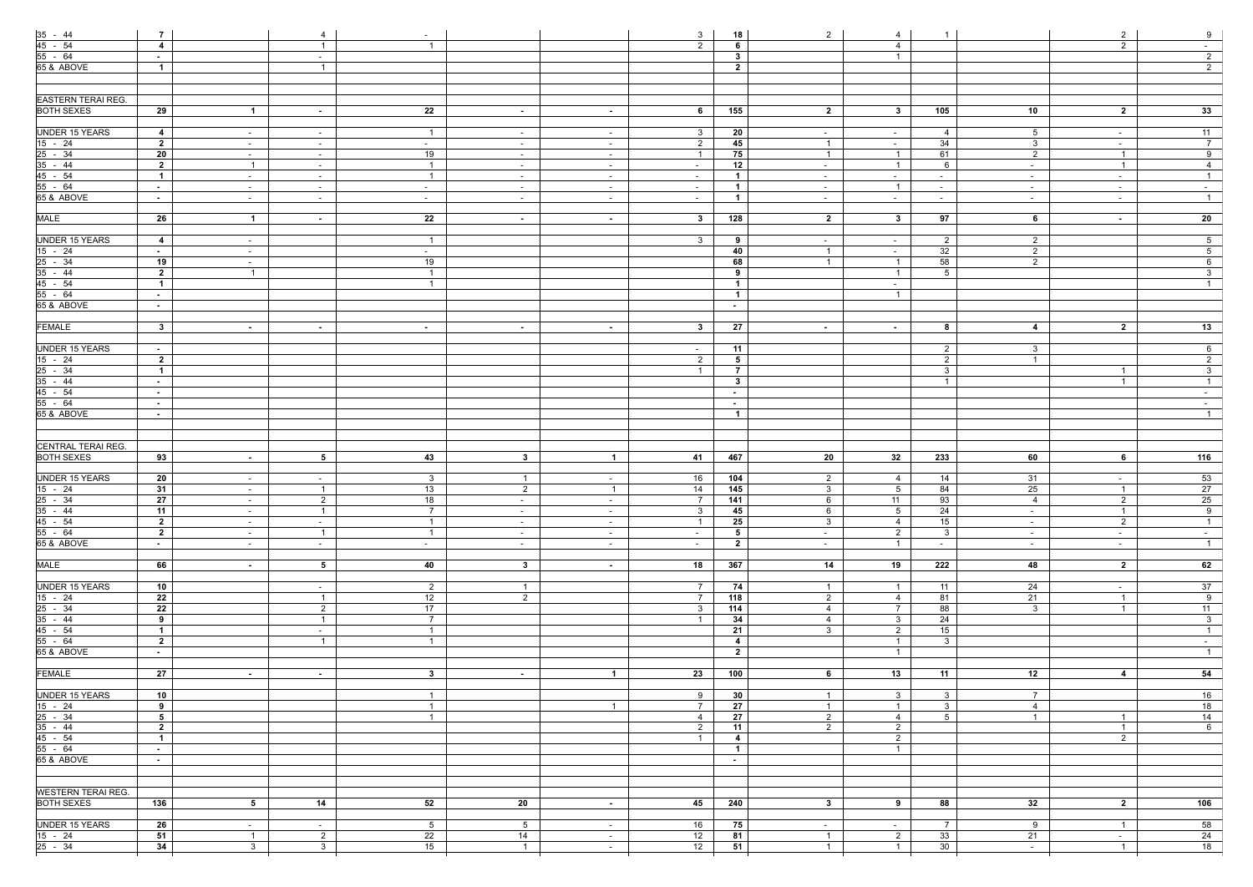|                                                                                     | $\overline{7}$               |                                  | 4                                | $\sim$                          |                      |                          | 3                        | 18                               | $2^{\circ}$                      | 4                                |                                  |                      | $\overline{2}$                   | 9                                 |
|-------------------------------------------------------------------------------------|------------------------------|----------------------------------|----------------------------------|---------------------------------|----------------------|--------------------------|--------------------------|----------------------------------|----------------------------------|----------------------------------|----------------------------------|----------------------|----------------------------------|-----------------------------------|
| $\frac{35 - 44}{45 - 54}$<br>55 - 64<br>65 & ABOVE                                  | $\overline{4}$               |                                  | $\overline{1}$                   |                                 |                      |                          | $\overline{2}$           | 6                                |                                  | $\overline{4}$                   |                                  |                      | $\overline{2}$                   | $\sim$                            |
|                                                                                     | $\sim$ $-$                   |                                  | $\sim$                           |                                 |                      |                          |                          | $\mathbf{3}$                     |                                  | $\overline{1}$                   |                                  |                      |                                  | $2\overline{ }$                   |
|                                                                                     | $\overline{1}$               |                                  | $\overline{1}$                   |                                 |                      |                          |                          | $\overline{2}$                   |                                  |                                  |                                  |                      |                                  | $\overline{2}$                    |
|                                                                                     |                              |                                  |                                  |                                 |                      |                          |                          |                                  |                                  |                                  |                                  |                      |                                  |                                   |
|                                                                                     |                              |                                  |                                  |                                 |                      |                          |                          |                                  |                                  |                                  |                                  |                      |                                  |                                   |
| <b>EASTERN TERAI REG.</b>                                                           |                              |                                  |                                  |                                 |                      |                          |                          |                                  |                                  |                                  |                                  |                      |                                  |                                   |
| <b>BOTH SEXES</b>                                                                   | $\overline{29}$              | $\overline{1}$                   | $\sim$                           | 22                              | $\sim$               | $\sim$ $-$               | 6                        | 155                              | $2^{\circ}$                      | $3^{\circ}$                      | 105                              | 10                   | $\overline{2}$                   | 33                                |
|                                                                                     |                              |                                  |                                  |                                 |                      |                          |                          |                                  |                                  |                                  |                                  |                      |                                  |                                   |
| <b>UNDER 15 YEARS</b>                                                               | $\overline{4}$               | $\sim$                           | $\sim$                           | $\overline{1}$                  | $\sim$               | $\sim$ $-$               | $\mathbf{3}$             | 20                               | $\sim$                           | $\sim$ $-$                       | $\overline{4}$                   | 5 <sup>5</sup>       | $\sim$                           | 11                                |
| $15 - 24$                                                                           | $\overline{2}$               | $\sim$                           | $\sim$                           | $\sim$                          | $\sim$               | $\sim$                   | $\overline{2}$           | 45                               | $\overline{1}$                   | $\sim$                           | 34                               | $\mathbf{3}$         | $\sim$                           | $\overline{7}$                    |
| $\frac{18}{25 - 34}$<br>$\frac{35 - 44}{45 - 54}$<br>$\frac{45 - 54}{55 - 64}$      | $20\,$                       | $\sim$                           | $\sim$                           | 19                              | $\sim$               | $\sim$ $-$               | $\overline{1}$           | 75                               | $\overline{1}$                   | $\overline{1}$                   | 61                               | $\overline{2}$       | $\overline{1}$                   | 9                                 |
|                                                                                     | $\overline{2}$               | $\overline{1}$                   | $\sim$                           | $\overline{1}$                  | $\sim$               | $\sim$                   | $\sim$                   | 12                               | $\sim$                           | $\overline{1}$                   | 6                                | $\sim$               | $\overline{1}$                   | $\overline{4}$                    |
|                                                                                     | $\overline{1}$               | $\sim$                           | $\sim$                           | $\overline{1}$                  | $\sim$               | $\sim$                   | $\sim$                   | $\overline{1}$                   | $\sim$                           | $\sim$                           | $\sim$                           | $\sim$               | $\sim$                           | $\overline{1}$                    |
|                                                                                     | $\sim$                       | $\sim$                           | $\sim$                           | $\sim$                          | $\sim$               | $\sim$                   | $\sim$                   | $\overline{1}$                   | $\sim$                           | $\overline{1}$                   | $\sim$                           | $\sim$               | $\sim$                           | $\sim$                            |
| 65 & ABOVE                                                                          | $\sim$ $-$                   | $\sim$                           | $\sim$ $-$                       | $\sim$                          | $\sim$               | $\sim$ $-$               | $\sim$                   | $\overline{1}$                   | $\sim$                           | $\sim$ 10 $\pm$                  | $\sim$                           | $\sim$ $-$           | $\sim$                           | $\overline{1}$                    |
| <b>MALE</b>                                                                         | 26                           | $\overline{1}$                   |                                  | $\overline{22}$                 |                      | $\sim$                   | $3^{\circ}$              | 128                              | $\overline{2}$                   | $3^{\circ}$                      | 97                               | $6\overline{6}$      |                                  | 20                                |
|                                                                                     |                              |                                  | $\sim$                           |                                 | $\sim$               |                          |                          |                                  |                                  |                                  |                                  |                      | $\sim$                           |                                   |
| <b>UNDER 15 YEARS</b>                                                               | $\overline{4}$               | $\sim$                           |                                  | $\overline{1}$                  |                      |                          | 3 <sup>3</sup>           | 9                                | $\sim$                           | $\sim$                           | $\overline{2}$                   | $2\overline{ }$      |                                  | 5 <sub>5</sub>                    |
|                                                                                     | $\sim$ $-$                   | $\sim$                           |                                  | $\sim$                          |                      |                          |                          | 40                               | $\overline{1}$                   | $\sim$                           | 32                               | $\overline{2}$       |                                  | 5 <sub>5</sub>                    |
|                                                                                     | 19                           | $\sim$                           |                                  | 19                              |                      |                          |                          | 68                               | $\overline{1}$                   | $\overline{1}$                   | 58                               | $\overline{2}$       |                                  | $6\overline{6}$                   |
|                                                                                     | $\overline{2}$               | $\overline{1}$                   |                                  | $\overline{1}$                  |                      |                          |                          | 9                                |                                  | $\overline{1}$                   | $5\overline{)}$                  |                      |                                  | $\overline{3}$                    |
|                                                                                     | $\overline{1}$               |                                  |                                  |                                 |                      |                          |                          | $\overline{1}$                   |                                  | $\sim$ $-$                       |                                  |                      |                                  | $\mathbf{1}$                      |
| $\frac{15 - 24}{25 - 34}$<br>$\frac{25 - 34}{35 - 44}$<br>$\frac{45 - 54}{55 - 64}$ | $\sim$                       |                                  |                                  |                                 |                      |                          |                          | $\overline{1}$                   |                                  | $\overline{1}$                   |                                  |                      |                                  |                                   |
| 65 & ABOVE                                                                          | $\sim$ $-$                   |                                  |                                  |                                 |                      |                          |                          | $\sim$                           |                                  |                                  |                                  |                      |                                  |                                   |
|                                                                                     |                              |                                  |                                  |                                 |                      |                          |                          |                                  |                                  |                                  |                                  |                      |                                  |                                   |
| <b>FEMALE</b>                                                                       | $\mathbf{3}$                 | $\sim$                           | $\sim$                           | $\sim$                          | $\sim$               | $\sim$                   | $\mathbf{3}$             | 27                               | $\sim$                           | $\sim$                           | 8                                | $\overline{4}$       | $\overline{2}$                   | 13                                |
|                                                                                     |                              |                                  |                                  |                                 |                      |                          |                          |                                  |                                  |                                  |                                  |                      |                                  |                                   |
| <b>UNDER 15 YEARS</b>                                                               | $\sim$ $-$<br>$\overline{2}$ |                                  |                                  |                                 |                      |                          | $\sim$<br>$\overline{2}$ | 11<br>5 <sub>5</sub>             |                                  |                                  | $\overline{2}$<br>$\overline{2}$ | $\mathbf{3}$<br>-1   |                                  | $6\overline{6}$<br>$\overline{2}$ |
|                                                                                     | $\overline{1}$               |                                  |                                  |                                 |                      |                          | $\overline{1}$           | $\overline{7}$                   |                                  |                                  | $\mathbf{3}$                     |                      | $\overline{1}$                   | 3 <sup>1</sup>                    |
|                                                                                     | $\sim$ $-$                   |                                  |                                  |                                 |                      |                          |                          | $\mathbf{3}$                     |                                  |                                  | $\overline{1}$                   |                      | $\overline{1}$                   | $\overline{1}$                    |
|                                                                                     | $\sim$ $-$                   |                                  |                                  |                                 |                      |                          |                          | $\sim$                           |                                  |                                  |                                  |                      |                                  | $\sim$ $-$                        |
| $\frac{15 - 24}{25 - 34}$<br>$\frac{35 - 44}{45 - 54}$<br>$\frac{45 - 54}{55 - 64}$ | $\sim$ $-$                   |                                  |                                  |                                 |                      |                          |                          | $\sim$                           |                                  |                                  |                                  |                      |                                  | $\sim$                            |
| 65 & ABOVE                                                                          | $\sim$                       |                                  |                                  |                                 |                      |                          |                          | $\overline{1}$                   |                                  |                                  |                                  |                      |                                  | $\overline{1}$                    |
|                                                                                     |                              |                                  |                                  |                                 |                      |                          |                          |                                  |                                  |                                  |                                  |                      |                                  |                                   |
|                                                                                     |                              |                                  |                                  |                                 |                      |                          |                          |                                  |                                  |                                  |                                  |                      |                                  |                                   |
| CENTRAL TERAI REG.                                                                  |                              |                                  |                                  |                                 |                      |                          |                          |                                  |                                  |                                  |                                  |                      |                                  |                                   |
| <b>BOTH SEXES</b>                                                                   | 93                           | <b>Contract</b>                  | 5 <sup>5</sup>                   | 43                              | $3^{\circ}$          | $\overline{1}$           | 41                       | 467                              | 20                               | 32                               | 233                              | 60                   | 6                                | 116                               |
|                                                                                     |                              |                                  |                                  |                                 |                      |                          |                          |                                  |                                  |                                  |                                  |                      |                                  |                                   |
| <b>UNDER 15 YEARS</b>                                                               | $20\,$<br>31                 | $\sim$                           | $\sim$                           | $\mathbf{3}$                    | $\overline{1}$       | $\sim$ $-$               | 16                       | 104                              | $2\overline{ }$                  | 4                                | 14                               | 31                   | $\sim$                           | 53                                |
| $15 - 24$                                                                           |                              | $\sim$                           | $\overline{1}$                   | 13                              | $2^{\circ}$          | $\overline{1}$           | 14                       | $145$                            | 3 <sup>1</sup>                   | 5 <sub>5</sub>                   | 84                               | 25<br>$\overline{4}$ | $\overline{1}$                   | 27                                |
|                                                                                     | 27<br>11                     | $\sim$<br>$\sim$                 | $2^{\circ}$<br>$\overline{1}$    | 18<br>$\overline{7}$            | $\sim$<br>$\sim$     | $\sim$ $-$<br>$\sim$     | 3                        | 141<br>45                        | 6<br>6                           | 11<br>5 <sup>5</sup>             | 93<br>24                         | $\sim$               | $\overline{2}$<br>$\overline{1}$ | 25<br>9                           |
| $\frac{25 - 34}{35 - 44}$<br>45 - 54                                                | $\overline{2}$               | $\sim$                           | $\sim$                           | $\overline{1}$                  | $\sim$               | $\sim$ $-$               | $\overline{1}$           | 25                               | 3 <sup>1</sup>                   | $\overline{4}$                   | 15                               | $\sim$               | $\overline{2}$                   | $\overline{1}$                    |
| $55 - 64$                                                                           | $\overline{2}$               | $\sim$ $ \sim$                   | $\overline{1}$                   | $\overline{1}$                  | $\sim$               | $\sim$ $-$               | $\sim$ $-$               | 5                                | $\sim$                           | $\overline{2}$                   | $\mathbf{3}$                     | $\sim$ $ \sim$       | $\sim$                           | <b>Contract</b>                   |
| 65 & ABOVE                                                                          | $\sim$ $-$                   | $\sim$ $-$                       | $\sim$                           | $\sim$                          | $\sim$               | $\sim$ $-$               | $\sim$ $-$               | $\overline{\mathbf{2}}$          | $\sim$ $-$                       | $\overline{1}$                   | $\sim$                           | $\sim$               | $\sim$                           | $\overline{1}$                    |
|                                                                                     |                              |                                  |                                  |                                 |                      |                          |                          |                                  |                                  |                                  |                                  |                      |                                  |                                   |
| <b>MALE</b>                                                                         | 66                           | $\sim 10$                        | 5 <sub>5</sub>                   | 40                              | $3^{\circ}$          | $\sim$                   | 18                       | 367                              | 14                               | 19                               | 222                              | 48                   | $\overline{2}$                   | 62                                |
|                                                                                     |                              |                                  |                                  |                                 |                      |                          |                          |                                  |                                  |                                  |                                  |                      |                                  |                                   |
| <b>UNDER 15 YEARS</b>                                                               | 10                           |                                  | $\sim$                           | $\overline{2}$                  | $\overline{1}$       |                          | 7                        | 74                               | $\overline{1}$                   | $\overline{1}$                   | 11                               | 24                   | $\sim$                           | 37                                |
| $15 - 24$                                                                           | 22                           |                                  | $\overline{1}$                   | 12                              | $\overline{2}$       |                          | $\overline{7}$           | 118                              | $\overline{2}$                   | $\overline{4}$                   | 81                               | 21                   | $\overline{1}$                   | 9                                 |
|                                                                                     | 22                           |                                  | $\overline{2}$                   | 17                              |                      |                          | 3                        | 114                              | $\overline{4}$                   | $7\overline{ }$                  | 88                               | $\mathbf{3}$         | $\overline{1}$                   | 11                                |
| $\frac{18}{25 - 34}$<br>$\frac{35 - 44}{45 - 54}$<br>$\frac{45 - 54}{55 - 64}$      | 9<br>$\overline{1}$          |                                  | $\overline{1}$                   | $7\overline{ }$<br>$\mathbf{1}$ |                      |                          | $\overline{1}$           | 34<br>21                         | $\overline{4}$<br>$\mathbf{3}$   | 3 <sup>3</sup>                   | 24<br>15                         |                      |                                  | $\mathbf{3}$<br>$\overline{1}$    |
|                                                                                     | $\overline{2}$               |                                  | $\sim$<br>$\overline{1}$         | $\overline{1}$                  |                      |                          |                          | $\overline{4}$                   |                                  | $\overline{2}$<br>$\overline{1}$ | $\mathbf{3}$                     |                      |                                  | $\sim 100$                        |
| 65 & ABOVE                                                                          | $\sim$ $-$                   |                                  |                                  |                                 |                      |                          |                          | $\overline{2}$                   |                                  | $\overline{1}$                   |                                  |                      |                                  | $\overline{1}$                    |
|                                                                                     |                              |                                  |                                  |                                 |                      |                          |                          |                                  |                                  |                                  |                                  |                      |                                  |                                   |
| <b>FEMALE</b>                                                                       | $\overline{27}$              | $\sim$                           | $\sim$                           | $3^{\circ}$                     | $\sim$               | $\overline{1}$           | 23                       | 100                              | 6                                | 13                               | 11                               | 12                   | $\overline{4}$                   | 54                                |
|                                                                                     |                              |                                  |                                  |                                 |                      |                          |                          |                                  |                                  |                                  |                                  |                      |                                  |                                   |
| <b>UNDER 15 YEARS</b>                                                               | 10                           |                                  |                                  | $\overline{1}$                  |                      |                          | 9                        | 30                               | $\overline{1}$                   | 3 <sup>3</sup>                   | $\mathbf{3}$                     | $\overline{7}$       |                                  | 16                                |
| $15 - 24$                                                                           | 9                            |                                  |                                  | $\mathbf{1}$                    |                      | $\overline{1}$           | $\overline{7}$           | 27                               | $\mathbf{1}$                     | $\overline{1}$                   | $\mathbf{3}$                     | $\overline{4}$       |                                  | 18                                |
|                                                                                     | 5 <sub>5</sub>               |                                  |                                  | $\overline{1}$                  |                      |                          | $\overline{4}$           | 27                               | $2^{\circ}$                      | $\overline{4}$                   | 5 <sup>5</sup>                   | $\overline{1}$       | $\overline{1}$                   | 14                                |
|                                                                                     | $\overline{2}$               |                                  |                                  |                                 |                      |                          | $\overline{2}$           | 11                               | $2^{\circ}$                      | $\overline{2}$                   |                                  |                      | $\overline{1}$                   | $6\overline{6}$                   |
|                                                                                     |                              |                                  |                                  |                                 |                      |                          |                          | $\overline{4}$<br>$\overline{1}$ |                                  | $\overline{2}$<br>$\overline{1}$ |                                  |                      | $\overline{2}$                   |                                   |
|                                                                                     | $\overline{1}$               |                                  |                                  |                                 |                      |                          |                          |                                  |                                  |                                  |                                  |                      |                                  |                                   |
| $\frac{18}{25 - 34}$<br>$\frac{35 - 44}{45 - 54}$<br>$\frac{45 - 54}{55 - 64}$      | $\sim$ $-$                   |                                  |                                  |                                 |                      |                          |                          |                                  |                                  |                                  |                                  |                      |                                  |                                   |
| 65 & ABOVE                                                                          | $\sim 100$                   |                                  |                                  |                                 |                      |                          |                          | $\sim$                           |                                  |                                  |                                  |                      |                                  |                                   |
|                                                                                     |                              |                                  |                                  |                                 |                      |                          |                          |                                  |                                  |                                  |                                  |                      |                                  |                                   |
|                                                                                     |                              |                                  |                                  |                                 |                      |                          |                          |                                  |                                  |                                  |                                  |                      |                                  |                                   |
| <b>WESTERN TERAI REG.</b><br><b>BOTH SEXES</b>                                      | 136                          | 5 <sub>5</sub>                   | 14                               | 52                              | 20                   | $\sim$ 10 $\pm$          | 45                       | 240                              | $3^{\circ}$                      | $9^{\circ}$                      | 88                               | 32                   | $\overline{\mathbf{2}}$          | 106                               |
|                                                                                     |                              |                                  |                                  |                                 |                      |                          |                          |                                  |                                  |                                  |                                  |                      |                                  |                                   |
| <b>UNDER 15 YEARS</b>                                                               | 26                           | $\sim$                           | $\sim$                           | 5 <sup>5</sup>                  | $5\overline{5}$      | $\sim$                   | 16                       | 75                               | $\sim$                           | $\sim$                           | $\overline{7}$                   | 9                    | $\overline{1}$                   | 58                                |
| $15 - 24$<br>$25 - 34$                                                              | 51<br>34                     | $\overline{1}$<br>3 <sup>3</sup> | $\overline{2}$<br>3 <sup>1</sup> | 22<br>15                        | 14<br>$\overline{1}$ | $\sim$ $-$<br>$\sim$ $-$ | 12<br>12                 | 81<br>51                         | $\overline{1}$<br>$\overline{1}$ | $\overline{2}$<br>$\overline{1}$ | 33<br>30                         | 21<br>$\sim$         | $\sim$<br>$\overline{1}$         | 24<br>18                          |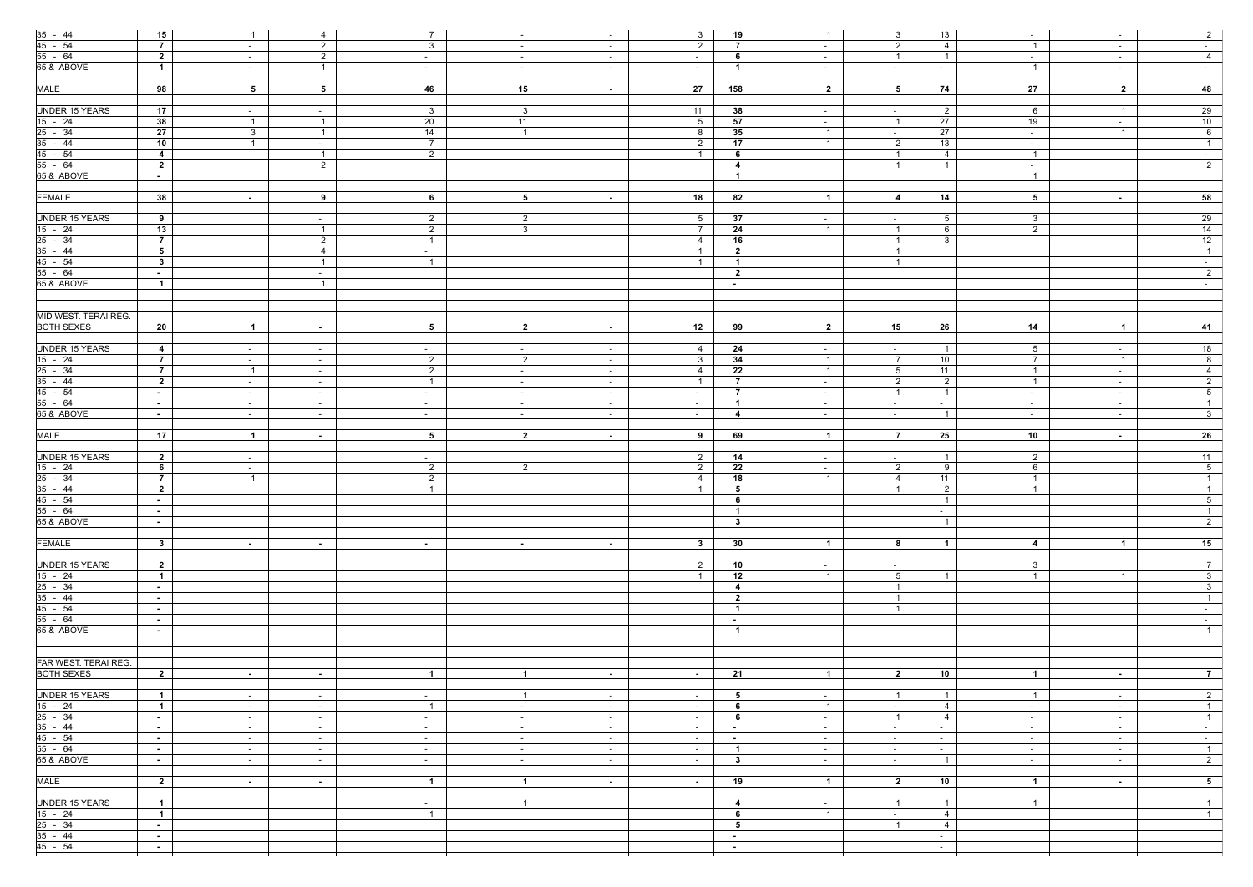|                                                                                                        | 15                            | $\overline{1}$ | 4              | $7\overline{ }$ | $\sim$         | $\sim$          | $\mathbf{3}$    | 19               | $\overline{1}$          | 3              | 13                                     | $\sim$                  | $\sim$                  | 2               |
|--------------------------------------------------------------------------------------------------------|-------------------------------|----------------|----------------|-----------------|----------------|-----------------|-----------------|------------------|-------------------------|----------------|----------------------------------------|-------------------------|-------------------------|-----------------|
|                                                                                                        | $\overline{7}$                | $\sim$         | $\overline{2}$ | $\mathbf{3}$    | $\sim$         | $\sim$          | $\overline{2}$  | $\overline{7}$   | $\sim$                  | $\overline{2}$ | $\overline{4}$                         | $\overline{1}$          | $\sim$                  | $\sim$          |
|                                                                                                        | $\overline{\mathbf{2}}$       | $\sim$         | $\overline{2}$ | $\sim$          | $\sim$         | $\sim$ $-$      | $\sim$          | 6                | $\sim$                  | $\overline{1}$ | $\overline{1}$                         | $\sim$ $-$              | $\sim$                  | $\overline{4}$  |
| $\frac{35 - 44}{45 - 54}$<br>55 - 64<br>65 & ABOVE                                                     | $\overline{1}$                | $\sim$         | $\overline{1}$ | $\sim$          | $\sim$         | $\sim$          | $\sim$          | $\overline{1}$   | $\sim$ $-$              | $\sim$ $-$     | $\sim$                                 | $\overline{1}$          | $\sim$                  | $\sim$ $-$      |
|                                                                                                        |                               |                |                |                 |                |                 |                 |                  |                         |                |                                        |                         |                         |                 |
| <b>MALE</b>                                                                                            | 98                            | 5 <sub>5</sub> | 5 <sub>5</sub> | 46              | 15             | $\sim$          | 27              | 158              | $\overline{\mathbf{2}}$ | 5 <sub>5</sub> | 74                                     | 27                      | $\overline{\mathbf{2}}$ | 48              |
|                                                                                                        |                               |                |                |                 |                |                 |                 |                  |                         |                |                                        |                         |                         |                 |
| <b>UNDER 15 YEARS</b>                                                                                  | 17                            | $\sim$         | $\sim$         | 3 <sup>3</sup>  | 3 <sup>5</sup> |                 | 11              | 38               | $\sim$                  | $\sim$         | $\overline{2}$                         | 6                       | $\overline{1}$          | 29              |
| $\frac{15 - 24}{15 - 24}$ $\frac{25 - 34}{35 - 44}$ $\frac{45 - 54}{55 - 64}$ $\frac{55 - 64}{65 - 8}$ | 38                            | $\overline{1}$ | $\overline{1}$ | 20              | 11             |                 | $5\overline{)}$ | 57               | $\sim$                  | $\overline{1}$ | 27                                     | 19                      | $\sim$                  | 10              |
|                                                                                                        | 27                            | $\mathbf{3}$   | $\overline{1}$ | $\overline{14}$ | $\overline{1}$ |                 | 8               | 35               | $\overline{1}$          | $\sim$         | 27                                     | $\sim$                  | $\overline{1}$          | $6\overline{6}$ |
|                                                                                                        | 10                            | $\overline{1}$ | $\sim$         | $7\overline{ }$ |                |                 | $\overline{2}$  | 17               | $\overline{1}$          | $\overline{2}$ | $\overline{13}$                        | $\sim$                  |                         | $\overline{1}$  |
|                                                                                                        | $\overline{4}$                |                | $\overline{1}$ | $\overline{2}$  |                |                 | $\overline{1}$  | 6                |                         | $\overline{1}$ | $\overline{4}$                         | $\overline{1}$          |                         | $\sim$ $-$      |
|                                                                                                        | $\overline{2}$                |                | $\overline{2}$ |                 |                |                 |                 | $\overline{4}$   |                         | $\overline{1}$ | $\overline{1}$                         | $\sim$                  |                         | $\overline{2}$  |
|                                                                                                        | $\sim 10$                     |                |                |                 |                |                 |                 | $\overline{1}$   |                         |                |                                        | $\overline{1}$          |                         |                 |
|                                                                                                        |                               |                |                |                 |                |                 |                 |                  |                         |                |                                        |                         |                         |                 |
| <b>FEMALE</b>                                                                                          | 38                            | $\sim$         | 9              | $6\overline{6}$ | 5 <sub>5</sub> | $\sim$          | 18              | 82               | $\mathbf{1}$            | $\overline{4}$ | 14                                     | 5 <sub>5</sub>          | $\sim$ $-$              | 58              |
|                                                                                                        |                               |                |                |                 |                |                 |                 |                  |                         |                |                                        |                         |                         |                 |
| <b>UNDER 15 YEARS</b>                                                                                  | 9                             |                | $\sim$         | $\overline{2}$  | $\overline{2}$ |                 | $5\overline{)}$ | 37               | $\sim$                  | $\sim$         | 5 <sup>5</sup>                         | $\overline{\mathbf{3}}$ |                         | 29              |
|                                                                                                        | 13                            |                | $\overline{1}$ | $\overline{2}$  | 3 <sup>1</sup> |                 | $\overline{7}$  | 24               | $\overline{1}$          | $\overline{1}$ | 6                                      | $\overline{2}$          |                         | 14              |
|                                                                                                        | 7 <sup>7</sup>                |                | $\overline{2}$ | $\overline{1}$  |                |                 | $\overline{4}$  | 16               |                         | $\overline{1}$ | $\mathbf{3}$                           |                         |                         | 12              |
|                                                                                                        | 5 <sub>5</sub>                |                | $\overline{4}$ | $\sim$          |                |                 |                 | $\overline{2}$   |                         | $\overline{1}$ |                                        |                         |                         | $\overline{1}$  |
|                                                                                                        | 3 <sup>1</sup>                |                | $\overline{1}$ | $\overline{1}$  |                |                 |                 | $\overline{1}$   |                         | $\overline{1}$ |                                        |                         |                         | $\sim$ $-$      |
| $\frac{15 - 24}{25 - 34}$<br>$\frac{35 - 44}{45 - 54}$<br>$\frac{45 - 54}{55 - 64}$                    | $\sim$                        |                | $\sim$         |                 |                |                 |                 | $\overline{2}$   |                         |                |                                        |                         |                         | $\overline{2}$  |
| 65 & ABOVE                                                                                             | $\overline{1}$                |                | $\overline{1}$ |                 |                |                 |                 | $\sim$           |                         |                |                                        |                         |                         | $\sim$ $-$      |
|                                                                                                        |                               |                |                |                 |                |                 |                 |                  |                         |                |                                        |                         |                         |                 |
|                                                                                                        |                               |                |                |                 |                |                 |                 |                  |                         |                |                                        |                         |                         |                 |
| <b>MID WEST. TERAI REG.</b>                                                                            |                               |                |                |                 |                |                 |                 |                  |                         |                |                                        |                         |                         |                 |
| <b>BOTH SEXES</b>                                                                                      | 20                            | $\overline{1}$ | $\sim$         | $5^{\circ}$     | $\overline{2}$ | $\sim$          | 12              | 99               | $\overline{2}$          | 15             | 26                                     | 14                      | $\overline{1}$          | 41              |
|                                                                                                        |                               |                |                |                 |                |                 |                 |                  |                         |                |                                        |                         |                         |                 |
| <b>UNDER 15 YEARS</b>                                                                                  | $\overline{4}$                | $\sim$         | $\sim$         | $\sim$          | $\sim$         | $\sim$ $-$      | 4               | 24               | $\sim$                  | $\sim$         | $\overline{1}$                         | 5 <sup>5</sup>          | $\sim$                  | 18              |
| $\frac{15 - 24}{15 - 24}$ $\frac{25 - 34}{35 - 44}$ $\frac{35 - 64}{55 - 64}$ $\frac{55 - 64}{65 - 8}$ | $\overline{7}$                | $\sim$         | $\sim$         | $\overline{2}$  | $\overline{2}$ | $\sim$ $-$      | $\mathbf{3}$    | 34               | $\overline{1}$          | $\overline{7}$ | 10                                     | $\overline{7}$          | $\overline{1}$          | 8               |
|                                                                                                        | $\overline{7}$                | $\overline{1}$ | $\sim$         | $\overline{2}$  | $\sim$         | $\sim$ $-$      | $\overline{4}$  | 22               | $\overline{1}$          | 5 <sup>5</sup> | 11                                     | $\overline{1}$          | $\sim$                  | $\overline{4}$  |
|                                                                                                        | $\overline{\mathbf{2}}$       | $\sim$         | $\sim$         | $\overline{1}$  | $\sim$         | $\sim$ $-$      | $\overline{1}$  | $\overline{7}$   | $\sim$                  | $\overline{2}$ | $\overline{2}$                         | $\overline{1}$          | $\sim$                  | $\overline{2}$  |
|                                                                                                        | $\sim 100$                    | $\sim$         | $\sim$         | $-$             | $\sim$         | $\sim$          | $\sim$          | $\overline{7}$   | $\sim$                  | $\overline{1}$ | $\overline{1}$                         | $\sim$                  | $\sim$                  | $5\overline{)}$ |
|                                                                                                        | $\sim$                        | $\sim$         | $\sim$ $-$     | $\sim$          | $\sim$         | $\sim$          | $\sim$ $-$      | $\overline{1}$   | $\sim$                  | $\sim$ $-$     | $\sim$ $-$                             | $\sim$                  | $\sim$                  | $\mathbf{1}$    |
|                                                                                                        | $\sim 10$                     | $\sim$         | $\sim$         | $\sim$          | $\sim$         | $\sim$ $-$      | $\sim$          | $\overline{4}$   | $\sim$                  | $\sim 10$      | $\overline{1}$                         | $\sim$                  | $\sim$ $-$              | $\overline{3}$  |
|                                                                                                        |                               |                |                |                 |                |                 |                 |                  |                         |                |                                        |                         |                         |                 |
|                                                                                                        | 17                            | $\overline{1}$ | $\sim$         | 5 <sub>5</sub>  | $\overline{2}$ | $\sim 10$       | 9               | 69               | $\overline{1}$          | $\overline{7}$ | 25                                     | 10                      | $\sim$ $-$              | 26              |
|                                                                                                        |                               |                |                |                 |                |                 |                 |                  |                         |                |                                        |                         |                         |                 |
| MALE                                                                                                   |                               |                |                |                 |                |                 |                 |                  |                         |                |                                        |                         |                         |                 |
|                                                                                                        |                               |                |                |                 |                |                 |                 |                  |                         |                |                                        |                         |                         |                 |
| <b>UNDER 15 YEARS</b>                                                                                  | $\overline{\mathbf{2}}$       | $\sim$         |                | $\sim$          |                |                 | $\overline{2}$  | 14               | $\sim$ $-$              | $\sim$ $-$     | $\overline{1}$                         | $2^{\circ}$             |                         | 11              |
|                                                                                                        | $6\overline{6}$               | $\sim$         |                | $\overline{2}$  | $\overline{2}$ |                 | $\overline{2}$  | $\overline{22}$  | $\sim$                  | $\overline{2}$ | 9                                      | $6\overline{6}$         |                         | 5 <sup>5</sup>  |
|                                                                                                        | $\overline{7}$                | $\overline{1}$ |                | $\overline{2}$  |                |                 | 4               | 18               | $\overline{1}$          | $\overline{4}$ | 11                                     | $\overline{1}$          |                         | $\overline{1}$  |
|                                                                                                        | $\overline{2}$                |                |                | $\overline{1}$  |                |                 | $\mathbf{1}$    | 5 <sub>5</sub>   |                         | $\overline{1}$ | $\overline{2}$                         | $\overline{1}$          |                         | $\overline{1}$  |
|                                                                                                        | $\sim$ $-$                    |                |                |                 |                |                 |                 | 6                |                         |                |                                        |                         |                         | 5 <sub>1</sub>  |
| $\frac{15 - 24}{25 - 34}$<br>$\frac{35 - 44}{45 - 54}$<br>$\frac{45 - 54}{55 - 64}$                    | $\sim$                        |                |                |                 |                |                 |                 | $\overline{1}$   |                         |                | $\sim$                                 |                         |                         | $\overline{1}$  |
| 65 & ABOVE                                                                                             | $\sim$                        |                |                |                 |                |                 |                 | $3^{\circ}$      |                         |                | $\overline{1}$                         |                         |                         | $\overline{2}$  |
|                                                                                                        |                               |                |                |                 |                |                 |                 |                  |                         |                |                                        |                         |                         |                 |
| <b>FEMALE</b>                                                                                          | $\mathbf{3}$                  | $\sim$         | $\sim$         | $\sim$ $-$      | $\sim$ $-$     | $\sim$          | $3^{\circ}$     | 30               | $\overline{1}$          | 8              | $\overline{1}$                         | $\overline{4}$          | $\overline{1}$          | 15              |
|                                                                                                        |                               |                |                |                 |                |                 |                 |                  |                         |                |                                        |                         |                         |                 |
| <b>UNDER 15 YEARS</b>                                                                                  | $\overline{2}$                |                |                |                 |                |                 | $\overline{2}$  | 10               | $\sim$                  | $\sim$ $-$     |                                        | 3 <sup>1</sup>          |                         | 7 <sup>7</sup>  |
|                                                                                                        | $\mathbf{1}$                  |                |                |                 |                |                 | $\overline{1}$  | 12               | $\overline{1}$          | 5 <sup>5</sup> | $\overline{1}$                         | $\overline{1}$          | $\overline{1}$          | 3 <sup>1</sup>  |
|                                                                                                        | $\sim 10$                     |                |                |                 |                |                 |                 | $\overline{4}$   |                         | $\overline{1}$ |                                        |                         |                         | 3 <sup>7</sup>  |
| $\frac{15 - 24}{25 - 34}$<br>35 - 44                                                                   | $\sim$                        |                |                |                 |                |                 |                 | $\overline{2}$   |                         | $\overline{1}$ |                                        |                         |                         | $\overline{1}$  |
| $45 - 54$                                                                                              | $\sim$                        |                |                |                 |                |                 |                 | $\overline{1}$   |                         | $\overline{1}$ |                                        |                         |                         | $\sim$ $-$      |
| 55 - 64                                                                                                | $\sim$ 10 $\pm$               |                |                |                 |                |                 |                 | $\sim$           |                         |                |                                        |                         |                         | $\sim$          |
| 65 & ABOVE                                                                                             | $\sim$                        |                |                |                 |                |                 |                 | $\overline{1}$   |                         |                |                                        |                         |                         | $\overline{1}$  |
|                                                                                                        |                               |                |                |                 |                |                 |                 |                  |                         |                |                                        |                         |                         |                 |
|                                                                                                        |                               |                |                |                 |                |                 |                 |                  |                         |                |                                        |                         |                         |                 |
| FAR WEST. TERAI REG.                                                                                   |                               |                |                |                 |                |                 |                 |                  |                         |                |                                        |                         |                         |                 |
| <b>BOTH SEXES</b>                                                                                      | $\overline{2}$                | $\sim$         | $\sim$         | $\overline{1}$  | $\mathbf{1}$   | $\sim$          | $\sim$ $-$      | 21               | $\overline{1}$          | $\overline{2}$ | 10                                     | $\overline{1}$          | $\sim$                  | 7 <sup>1</sup>  |
|                                                                                                        |                               |                |                |                 |                |                 |                 |                  |                         |                |                                        |                         |                         |                 |
| <b>UNDER 15 YEARS</b>                                                                                  | $\overline{1}$                | $\sim$         | $\sim$         | $\sim$          | $\overline{1}$ | $\sim$ $-$      | $\sim$ $-$      | 5                | $\sim$                  | $\overline{1}$ | $\overline{1}$                         | $\overline{1}$          | $\sim$                  | 2               |
|                                                                                                        | $\overline{1}$                | $\sim$         | $\sim$         | $\overline{1}$  | $\sim$         | $\sim$ $-$      | $\sim$          | 6                | $\overline{1}$          | $\sim$ $-$     | $\overline{4}$                         | $\sim$                  | $\sim$                  | $\overline{1}$  |
|                                                                                                        | $\sim$ 10 $\pm$               | $\sim$         | $\sim$         | $\sim$          | $\sim$         | $\sim$ $-$      | $\sim$          | 6                | $\sim$                  | $\overline{1}$ | $\overline{4}$                         | $\sim$                  | $\sim$                  | $\overline{1}$  |
|                                                                                                        | $\sim 100$                    | $\sim$         | $\sim$         | $\sim$          | $\sim$         | $\sim$ 10 $\pm$ | $\sim$          | $\sim$           | $\sim$ $-$              | $\sim$ $-$     | $\sim$                                 | $\sim$                  | $\sim$                  | $\sim$ $ \sim$  |
|                                                                                                        | $\sim$                        | $\sim$         | $\sim$ $-$     | $\sim$          | $\sim$         | $\sim$ 10 $\pm$ | $\sim$          | $\sim$ $-$       | $\sim$                  | $\sim$ $-$     | $\sim$                                 | $\sim$                  | $\sim$                  | $\sim$ $-$      |
| $\frac{15 - 24}{25 - 34}$<br>$\frac{25 - 34}{45 - 54}$<br>$\frac{45 - 54}{55 - 64}$                    | $\sim$                        | $\sim$         | $\sim$         | $\sim$          | $\sim$         | $\sim$ $-$      | $\sim$          | $\overline{1}$   | $\sim$                  | $\sim$         | $\sim$                                 | $\sim$                  | $\sim$                  | $\overline{1}$  |
| 65 & ABOVE                                                                                             | $\sim$ 10 $\pm$               | $\sim$         | $\sim$         | $\sim$          | $\sim$ $-$     | $\sim$ $-$      | $\sim$ $-$      | $3^{\circ}$      | $\sim$                  | $\sim$ $-$     | $\overline{1}$                         | $\sim$ $-$              | $\sim$                  | $\overline{2}$  |
|                                                                                                        |                               |                |                |                 |                |                 |                 |                  |                         |                |                                        |                         |                         |                 |
| <b>MALE</b>                                                                                            | $\overline{2}$                | $\sim$         | $\sim$         | $\overline{1}$  | $\overline{1}$ | $\sim$          | $\sim$ $-$      | 19               | $\overline{1}$          | $\overline{2}$ | 10                                     | $\overline{1}$          | $\sim$                  | 5 <sub>5</sub>  |
|                                                                                                        |                               |                |                |                 |                |                 |                 |                  |                         |                |                                        |                         |                         |                 |
| <b>UNDER 15 YEARS</b>                                                                                  | $\overline{1}$                |                |                | $\sim$          | $\overline{1}$ |                 |                 | 4                | $\sim$ $-$              | $\overline{1}$ | $\overline{1}$                         | $\overline{1}$          |                         | $\overline{1}$  |
|                                                                                                        | $\overline{1}$                |                |                | $\overline{1}$  |                |                 |                 | $6\phantom{.0}$  | $\overline{1}$          | $\sim$ $-$     | $\overline{4}$                         |                         |                         | $\overline{1}$  |
|                                                                                                        | $\sim$                        |                |                |                 |                |                 |                 | 5                |                         | $\overline{1}$ | $\overline{4}$                         |                         |                         |                 |
| $\frac{15 - 24}{25 - 34}$<br>$\frac{35 - 44}{35 - 44}$<br>$45 - 54$                                    | $\sim$ $-$<br>$\sim$ 10 $\pm$ |                |                |                 |                |                 |                 | $\sim$<br>$\sim$ |                         |                | $\sim$ $-$<br>$\overline{\phantom{0}}$ |                         |                         |                 |